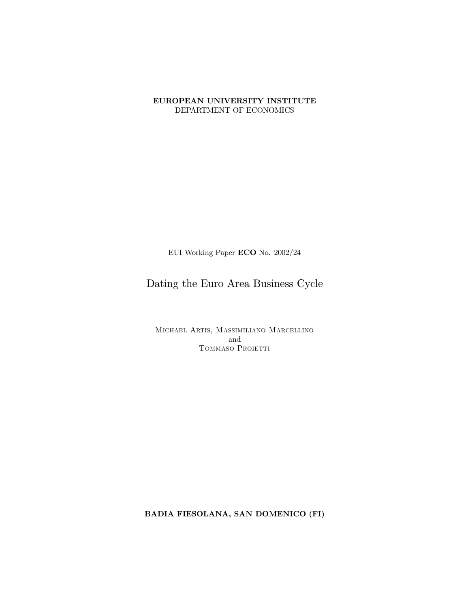### EUROPEAN UNIVERSITY INSTITUTE DEPARTMENT OF ECONOMICS

EUI Working Paper ECO No.  $2002/24$ 

# Dating the Euro Area Business Cycle

MICHAEL ARTIS, MASSIMILIANO MARCELLINO and TOMMASO PROJETTI

BADIA FIESOLANA, SAN DOMENICO (FI)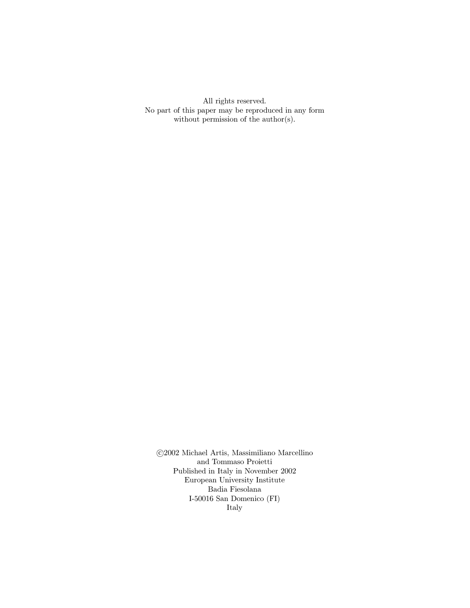All rights reserved. No part of this paper may be reproduced in any form without permission of the  $\text{author}(s)$ .

 $\odot\!2002$  Michael Artis, Massimiliano Marcellino and Tommaso Proietti $\,$ Published in Italy in November 2002 European University Institute Badia Fiesolana I-50016 San Domenico (FI) Italy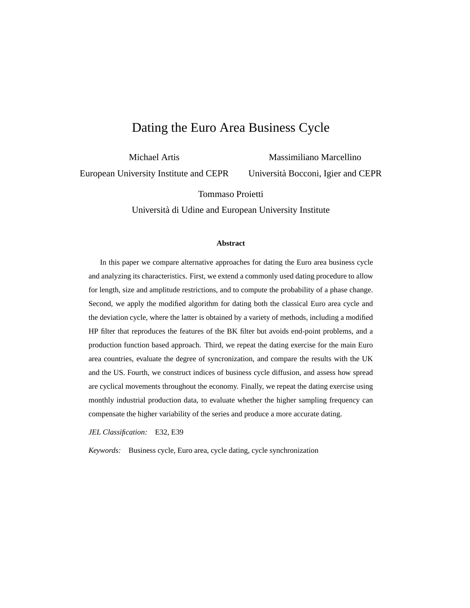# Dating the Euro Area Business Cycle

Michael Artis European University Institute and CEPR

Massimiliano Marcellino Universita Bocconi, Igier and CEPR `

Tommaso Proietti

Universita di Udine and European University Institute `

#### **Abstract**

In this paper we compare alternative approaches for dating the Euro area business cycle and analyzing its characteristics. First, we extend a commonly used dating procedure to allow for length, size and amplitude restrictions, and to compute the probability of a phase change. Second, we apply the modified algorithm for dating both the classical Euro area cycle and the deviation cycle, where the latter is obtained by a variety of methods, including a modified HP filter that reproduces the features of the BK filter but avoids end-point problems, and a production function based approach. Third, we repeat the dating exercise for the main Euro area countries, evaluate the degree of syncronization, and compare the results with the UK and the US. Fourth, we construct indices of business cycle diffusion, and assess how spread are cyclical movements throughout the economy. Finally, we repeat the dating exercise using monthly industrial production data, to evaluate whether the higher sampling frequency can compensate the higher variability of the series and produce a more accurate dating.

*JEL Classification:* E32, E39

*Keywords:* Business cycle, Euro area, cycle dating, cycle synchronization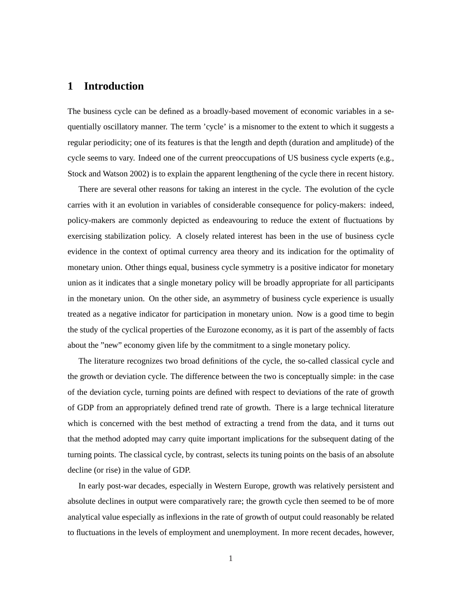# **1 Introduction**

The business cycle can be defined as a broadly-based movement of economic variables in a sequentially oscillatory manner. The term 'cycle' is a misnomer to the extent to which it suggests a regular periodicity; one of its features is that the length and depth (duration and amplitude) of the cycle seems to vary. Indeed one of the current preoccupations of US business cycle experts (e.g., Stock and Watson 2002) is to explain the apparent lengthening of the cycle there in recent history.

There are several other reasons for taking an interest in the cycle. The evolution of the cycle carries with it an evolution in variables of considerable consequence for policy-makers: indeed, policy-makers are commonly depicted as endeavouring to reduce the extent of fluctuations by exercising stabilization policy. A closely related interest has been in the use of business cycle evidence in the context of optimal currency area theory and its indication for the optimality of monetary union. Other things equal, business cycle symmetry is a positive indicator for monetary union as it indicates that a single monetary policy will be broadly appropriate for all participants in the monetary union. On the other side, an asymmetry of business cycle experience is usually treated as a negative indicator for participation in monetary union. Now is a good time to begin the study of the cyclical properties of the Eurozone economy, as it is part of the assembly of facts about the "new" economy given life by the commitment to a single monetary policy.

The literature recognizes two broad definitions of the cycle, the so-called classical cycle and the growth or deviation cycle. The difference between the two is conceptually simple: in the case of the deviation cycle, turning points are defined with respect to deviations of the rate of growth of GDP from an appropriately defined trend rate of growth. There is a large technical literature which is concerned with the best method of extracting a trend from the data, and it turns out that the method adopted may carry quite important implications for the subsequent dating of the turning points. The classical cycle, by contrast, selects its tuning points on the basis of an absolute decline (or rise) in the value of GDP.

In early post-war decades, especially in Western Europe, growth was relatively persistent and absolute declines in output were comparatively rare; the growth cycle then seemed to be of more analytical value especially as inflexions in the rate of growth of output could reasonably be related to fluctuations in the levels of employment and unemployment. In more recent decades, however,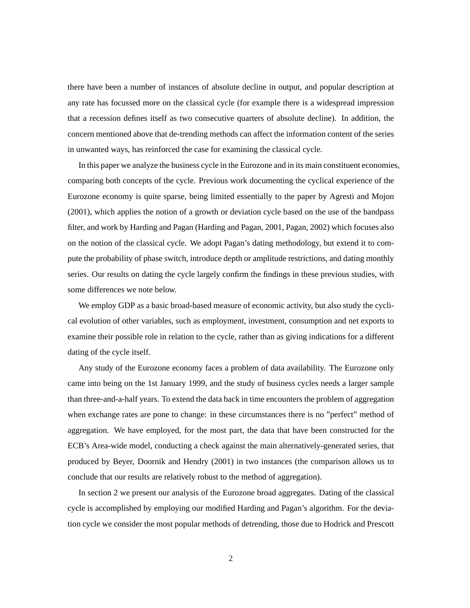there have been a number of instances of absolute decline in output, and popular description at any rate has focussed more on the classical cycle (for example there is a widespread impression that a recession defines itself as two consecutive quarters of absolute decline). In addition, the concern mentioned above that de-trending methods can affect the information content of the series in unwanted ways, has reinforced the case for examining the classical cycle.

In this paper we analyze the business cycle in the Eurozone and in its main constituent economies, comparing both concepts of the cycle. Previous work documenting the cyclical experience of the Eurozone economy is quite sparse, being limited essentially to the paper by Agresti and Mojon (2001), which applies the notion of a growth or deviation cycle based on the use of the bandpass filter, and work by Harding and Pagan (Harding and Pagan, 2001, Pagan, 2002) which focuses also on the notion of the classical cycle. We adopt Pagan's dating methodology, but extend it to compute the probability of phase switch, introduce depth or amplitude restrictions, and dating monthly series. Our results on dating the cycle largely confirm the findings in these previous studies, with some differences we note below.

We employ GDP as a basic broad-based measure of economic activity, but also study the cyclical evolution of other variables, such as employment, investment, consumption and net exports to examine their possible role in relation to the cycle, rather than as giving indications for a different dating of the cycle itself.

Any study of the Eurozone economy faces a problem of data availability. The Eurozone only came into being on the 1st January 1999, and the study of business cycles needs a larger sample than three-and-a-half years. To extend the data back in time encounters the problem of aggregation when exchange rates are pone to change: in these circumstances there is no "perfect" method of aggregation. We have employed, for the most part, the data that have been constructed for the ECB's Area-wide model, conducting a check against the main alternatively-generated series, that produced by Beyer, Doornik and Hendry (2001) in two instances (the comparison allows us to conclude that our results are relatively robust to the method of aggregation).

In section 2 we present our analysis of the Eurozone broad aggregates. Dating of the classical cycle is accomplished by employing our modified Harding and Pagan's algorithm. For the deviation cycle we consider the most popular methods of detrending, those due to Hodrick and Prescott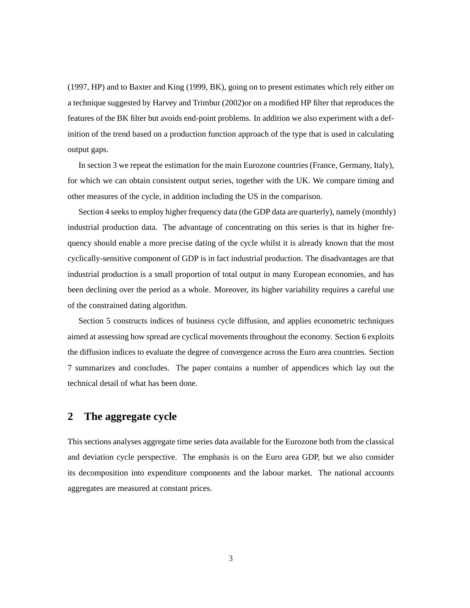(1997, HP) and to Baxter and King (1999, BK), going on to present estimates which rely either on a technique suggested by Harvey and Trimbur (2002)or on a modified HP filter that reproduces the features of the BK filter but avoids end-point problems. In addition we also experiment with a definition of the trend based on a production function approach of the type that is used in calculating output gaps.

In section 3 we repeat the estimation for the main Eurozone countries (France, Germany, Italy), for which we can obtain consistent output series, together with the UK. We compare timing and other measures of the cycle, in addition including the US in the comparison.

Section 4 seeks to employ higher frequency data (the GDP data are quarterly), namely (monthly) industrial production data. The advantage of concentrating on this series is that its higher frequency should enable a more precise dating of the cycle whilst it is already known that the most cyclically-sensitive component of GDP is in fact industrial production. The disadvantages are that industrial production is a small proportion of total output in many European economies, and has been declining over the period as a whole. Moreover, its higher variability requires a careful use of the constrained dating algorithm.

Section 5 constructs indices of business cycle diffusion, and applies econometric techniques aimed at assessing how spread are cyclical movements throughout the economy. Section 6 exploits the diffusion indices to evaluate the degree of convergence across the Euro area countries. Section 7 summarizes and concludes. The paper contains a number of appendices which lay out the technical detail of what has been done.

### **2 The aggregate cycle**

This sections analyses aggregate time series data available for the Eurozone both from the classical and deviation cycle perspective. The emphasis is on the Euro area GDP, but we also consider its decomposition into expenditure components and the labour market. The national accounts aggregates are measured at constant prices.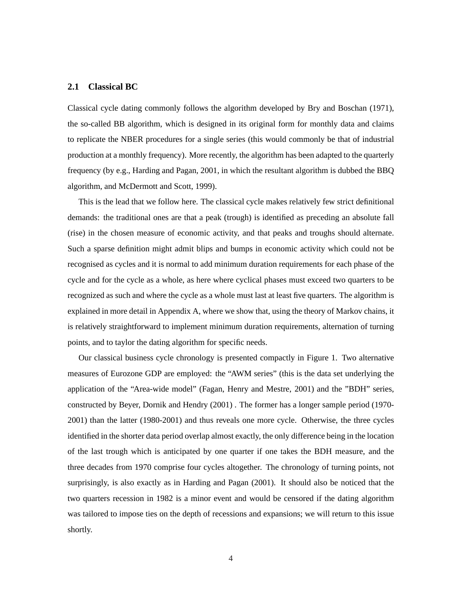### **2.1 Classical BC**

Classical cycle dating commonly follows the algorithm developed by Bry and Boschan (1971), the so-called BB algorithm, which is designed in its original form for monthly data and claims to replicate the NBER procedures for a single series (this would commonly be that of industrial production at a monthly frequency). More recently, the algorithm has been adapted to the quarterly frequency (by e.g., Harding and Pagan, 2001, in which the resultant algorithm is dubbed the BBQ algorithm, and McDermott and Scott, 1999).

This is the lead that we follow here. The classical cycle makes relatively few strict definitional demands: the traditional ones are that a peak (trough) is identified as preceding an absolute fall (rise) in the chosen measure of economic activity, and that peaks and troughs should alternate. Such a sparse definition might admit blips and bumps in economic activity which could not be recognised as cycles and it is normal to add minimum duration requirements for each phase of the cycle and for the cycle as a whole, as here where cyclical phases must exceed two quarters to be recognized as such and where the cycle as a whole must last at least five quarters. The algorithm is explained in more detail in Appendix A, where we show that, using the theory of Markov chains, it is relatively straightforward to implement minimum duration requirements, alternation of turning points, and to taylor the dating algorithm for specific needs.

Our classical business cycle chronology is presented compactly in Figure 1. Two alternative measures of Eurozone GDP are employed: the "AWM series" (this is the data set underlying the application of the "Area-wide model" (Fagan, Henry and Mestre, 2001) and the "BDH" series, constructed by Beyer, Dornik and Hendry (2001) . The former has a longer sample period (1970- 2001) than the latter (1980-2001) and thus reveals one more cycle. Otherwise, the three cycles identified in the shorter data period overlap almost exactly, the only difference being in the location of the last trough which is anticipated by one quarter if one takes the BDH measure, and the three decades from 1970 comprise four cycles altogether. The chronology of turning points, not surprisingly, is also exactly as in Harding and Pagan (2001). It should also be noticed that the two quarters recession in 1982 is a minor event and would be censored if the dating algorithm was tailored to impose ties on the depth of recessions and expansions; we will return to this issue shortly.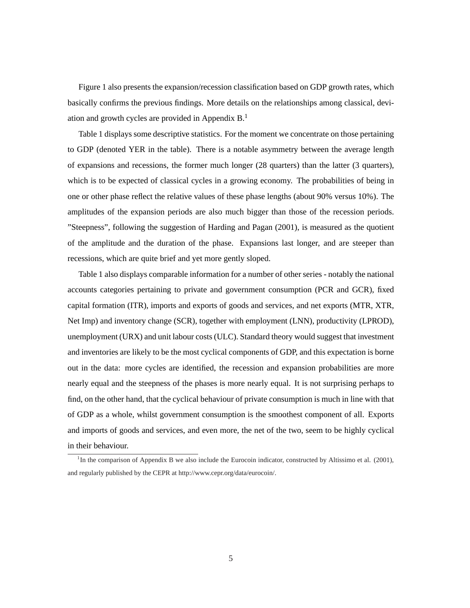Figure 1 also presents the expansion/recession classification based on GDP growth rates, which basically confirms the previous findings. More details on the relationships among classical, deviation and growth cycles are provided in Appendix B.<sup>1</sup>

Table 1 displays some descriptive statistics. For the moment we concentrate on those pertaining to GDP (denoted YER in the table). There is a notable asymmetry between the average length of expansions and recessions, the former much longer (28 quarters) than the latter (3 quarters), which is to be expected of classical cycles in a growing economy. The probabilities of being in one or other phase reflect the relative values of these phase lengths (about 90% versus 10%). The amplitudes of the expansion periods are also much bigger than those of the recession periods. "Steepness", following the suggestion of Harding and Pagan (2001), is measured as the quotient of the amplitude and the duration of the phase. Expansions last longer, and are steeper than recessions, which are quite brief and yet more gently sloped.

Table 1 also displays comparable information for a number of other series - notably the national accounts categories pertaining to private and government consumption (PCR and GCR), fixed capital formation (ITR), imports and exports of goods and services, and net exports (MTR, XTR, Net Imp) and inventory change (SCR), together with employment (LNN), productivity (LPROD), unemployment (URX) and unit labour costs (ULC). Standard theory would suggest that investment and inventories are likely to be the most cyclical components of GDP, and this expectation is borne out in the data: more cycles are identified, the recession and expansion probabilities are more nearly equal and the steepness of the phases is more nearly equal. It is not surprising perhaps to find, on the other hand, that the cyclical behaviour of private consumption is much in line with that of GDP as a whole, whilst government consumption is the smoothest component of all. Exports and imports of goods and services, and even more, the net of the two, seem to be highly cyclical in their behaviour.

<sup>&</sup>lt;sup>1</sup>In the comparison of Appendix B we also include the Eurocoin indicator, constructed by Altissimo et al. (2001), and regularly published by the CEPR at http://www.cepr.org/data/eurocoin/.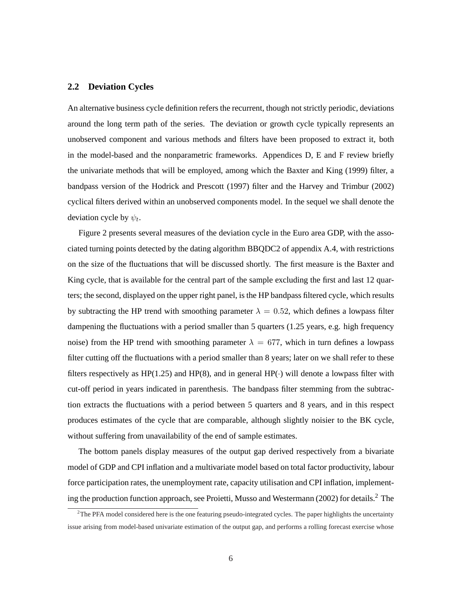### **2.2 Deviation Cycles**

An alternative business cycle definition refers the recurrent, though not strictly periodic, deviations around the long term path of the series. The deviation or growth cycle typically represents an unobserved component and various methods and filters have been proposed to extract it, both in the model-based and the nonparametric frameworks. Appendices D, E and F review briefly the univariate methods that will be employed, among which the Baxter and King (1999) filter, a bandpass version of the Hodrick and Prescott (1997) filter and the Harvey and Trimbur (2002) cyclical filters derived within an unobserved components model. In the sequel we shall denote the deviation cycle by  $\psi_t$ .

Figure 2 presents several measures of the deviation cycle in the Euro area GDP, with the associated turning points detected by the dating algorithm BBQDC2 of appendix A.4, with restrictions on the size of the fluctuations that will be discussed shortly. The first measure is the Baxter and King cycle, that is available for the central part of the sample excluding the first and last 12 quarters; the second, displayed on the upper right panel, is the HP bandpass filtered cycle, which results by subtracting the HP trend with smoothing parameter  $\lambda = 0.52$ , which defines a lowpass filter dampening the fluctuations with a period smaller than 5 quarters (1.25 years, e.g. high frequency noise) from the HP trend with smoothing parameter  $\lambda = 677$ , which in turn defines a lowpass filter cutting off the fluctuations with a period smaller than 8 years; later on we shall refer to these filters respectively as HP(1.25) and HP(8), and in general HP( $\cdot$ ) will denote a lowpass filter with cut-off period in years indicated in parenthesis. The bandpass filter stemming from the subtraction extracts the fluctuations with a period between 5 quarters and 8 years, and in this respect produces estimates of the cycle that are comparable, although slightly noisier to the BK cycle, without suffering from unavailability of the end of sample estimates.

The bottom panels display measures of the output gap derived respectively from a bivariate model of GDP and CPI inflation and a multivariate model based on total factor productivity, labour force participation rates, the unemployment rate, capacity utilisation and CPI inflation, implementing the production function approach, see Proietti, Musso and Westermann (2002) for details.<sup>2</sup> The

 $2$ The PFA model considered here is the one featuring pseudo-integrated cycles. The paper highlights the uncertainty issue arising from model-based univariate estimation of the output gap, and performs a rolling forecast exercise whose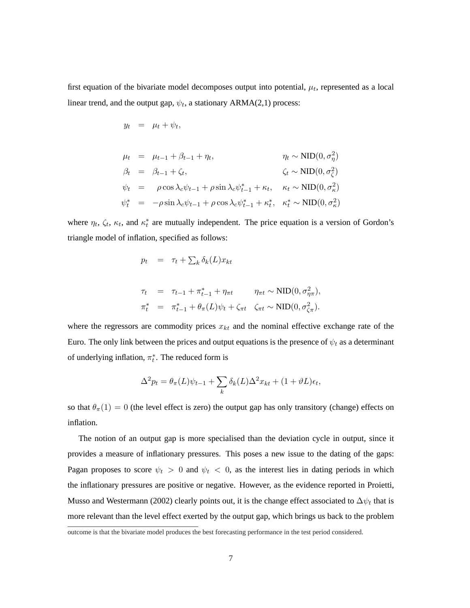first equation of the bivariate model decomposes output into potential,  $\mu_t$ , represented as a local linear trend, and the output gap,  $\psi_t$ , a stationary ARMA(2,1) process:

$$
\mu_t = \mu_{t-1} + \beta_{t-1} + \eta_t, \qquad \eta_t \sim \text{NID}(0, \sigma_\eta^2)
$$
  
\n
$$
\beta_t = \beta_{t-1} + \zeta_t, \qquad \zeta_t \sim \text{NID}(0, \sigma_\zeta^2)
$$
  
\n
$$
\psi_t = \rho \cos \lambda_c \psi_{t-1} + \rho \sin \lambda_c \psi_{t-1}^* + \kappa_t, \quad \kappa_t \sim \text{NID}(0, \sigma_\kappa^2)
$$
  
\n
$$
\psi_t^* = -\rho \sin \lambda_c \psi_{t-1} + \rho \cos \lambda_c \psi_{t-1}^* + \kappa_t^*, \quad \kappa_t^* \sim \text{NID}(0, \sigma_\kappa^2)
$$

where  $\eta_t$ ,  $\zeta_t$ ,  $\kappa_t$ , and  $\kappa_t^*$  are mutually independent. The price equation is a version of Gordon's triangle model of inflation, specified as follows:

$$
p_t = \tau_t + \sum_k \delta_k(L) x_{kt}
$$

 $y_t = \mu_t + \psi_t,$ 

$$
\tau_t = \tau_{t-1} + \pi_{t-1}^* + \eta_{\pi t} \qquad \eta_{\pi t} \sim \text{NID}(0, \sigma_{\eta \pi}^2),
$$
  

$$
\pi_t^* = \pi_{t-1}^* + \theta_{\pi}(L)\psi_t + \zeta_{\pi t} \quad \zeta_{\pi t} \sim \text{NID}(0, \sigma_{\zeta \pi}^2).
$$

where the regressors are commodity prices  $x_{kt}$  and the nominal effective exchange rate of the Euro. The only link between the prices and output equations is the presence of  $\psi_t$  as a determinant of underlying inflation,  $\pi_t^*$ . The reduced form is

$$
\Delta^2 p_t = \theta_\pi(L)\psi_{t-1} + \sum_k \delta_k(L)\Delta^2 x_{kt} + (1+\vartheta L)\epsilon_t,
$$

so that  $\theta_{\pi}(1) = 0$  (the level effect is zero) the output gap has only transitory (change) effects on inflation.

The notion of an output gap is more specialised than the deviation cycle in output, since it provides a measure of inflationary pressures. This poses a new issue to the dating of the gaps: Pagan proposes to score  $\psi_t > 0$  and  $\psi_t < 0$ , as the interest lies in dating periods in which the inflationary pressures are positive or negative. However, as the evidence reported in Proietti, Musso and Westermann (2002) clearly points out, it is the change effect associated to  $\Delta\psi_t$  that is more relevant than the level effect exerted by the output gap, which brings us back to the problem

outcome is that the bivariate model produces the best forecasting performance in the test period considered.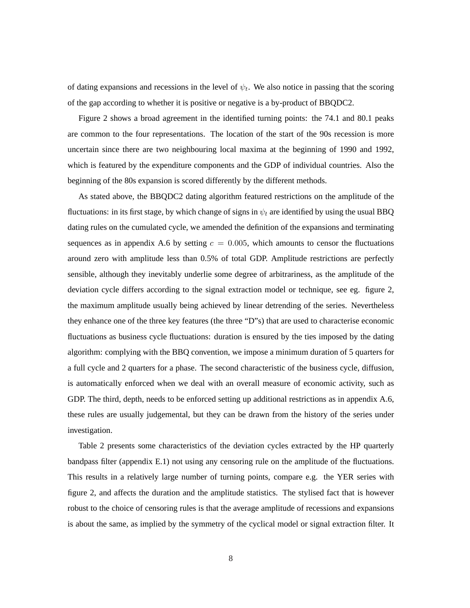of dating expansions and recessions in the level of  $\psi_t$ . We also notice in passing that the scoring of the gap according to whether it is positive or negative is a by-product of BBQDC2.

Figure 2 shows a broad agreement in the identified turning points: the 74.1 and 80.1 peaks are common to the four representations. The location of the start of the 90s recession is more uncertain since there are two neighbouring local maxima at the beginning of 1990 and 1992, which is featured by the expenditure components and the GDP of individual countries. Also the beginning of the 80s expansion is scored differently by the different methods.

As stated above, the BBQDC2 dating algorithm featured restrictions on the amplitude of the fluctuations: in its first stage, by which change of signs in  $\psi_t$  are identified by using the usual BBO dating rules on the cumulated cycle, we amended the definition of the expansions and terminating sequences as in appendix A.6 by setting  $c = 0.005$ , which amounts to censor the fluctuations around zero with amplitude less than 0.5% of total GDP. Amplitude restrictions are perfectly sensible, although they inevitably underlie some degree of arbitrariness, as the amplitude of the deviation cycle differs according to the signal extraction model or technique, see eg. figure 2, the maximum amplitude usually being achieved by linear detrending of the series. Nevertheless they enhance one of the three key features (the three "D"s) that are used to characterise economic fluctuations as business cycle fluctuations: duration is ensured by the ties imposed by the dating algorithm: complying with the BBQ convention, we impose a minimum duration of 5 quarters for a full cycle and 2 quarters for a phase. The second characteristic of the business cycle, diffusion, is automatically enforced when we deal with an overall measure of economic activity, such as GDP. The third, depth, needs to be enforced setting up additional restrictions as in appendix A.6, these rules are usually judgemental, but they can be drawn from the history of the series under investigation.

Table 2 presents some characteristics of the deviation cycles extracted by the HP quarterly bandpass filter (appendix E.1) not using any censoring rule on the amplitude of the fluctuations. This results in a relatively large number of turning points, compare e.g. the YER series with figure 2, and affects the duration and the amplitude statistics. The stylised fact that is however robust to the choice of censoring rules is that the average amplitude of recessions and expansions is about the same, as implied by the symmetry of the cyclical model or signal extraction filter. It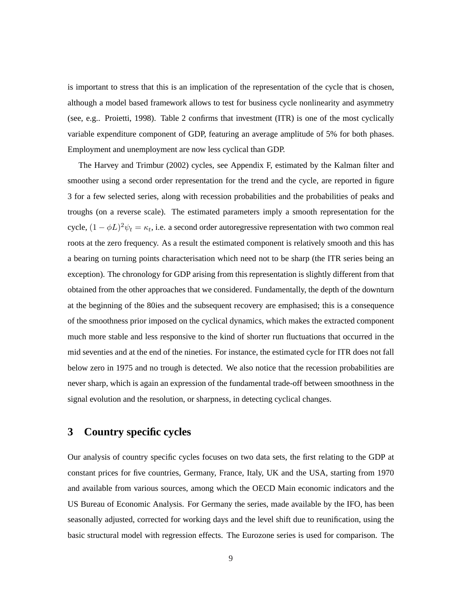is important to stress that this is an implication of the representation of the cycle that is chosen, although a model based framework allows to test for business cycle nonlinearity and asymmetry (see, e.g.. Proietti, 1998). Table 2 confirms that investment (ITR) is one of the most cyclically variable expenditure component of GDP, featuring an average amplitude of 5% for both phases. Employment and unemployment are now less cyclical than GDP.

The Harvey and Trimbur (2002) cycles, see Appendix F, estimated by the Kalman filter and smoother using a second order representation for the trend and the cycle, are reported in figure 3 for a few selected series, along with recession probabilities and the probabilities of peaks and troughs (on a reverse scale). The estimated parameters imply a smooth representation for the cycle,  $(1 - \phi L)^2 \psi_t = \kappa_t$ , i.e. a second order autoregressive representation with two common real roots at the zero frequency. As a result the estimated component is relatively smooth and this has a bearing on turning points characterisation which need not to be sharp (the ITR series being an exception). The chronology for GDP arising from this representation is slightly different from that obtained from the other approaches that we considered. Fundamentally, the depth of the downturn at the beginning of the 80ies and the subsequent recovery are emphasised; this is a consequence of the smoothness prior imposed on the cyclical dynamics, which makes the extracted component much more stable and less responsive to the kind of shorter run fluctuations that occurred in the mid seventies and at the end of the nineties. For instance, the estimated cycle for ITR does not fall below zero in 1975 and no trough is detected. We also notice that the recession probabilities are never sharp, which is again an expression of the fundamental trade-off between smoothness in the signal evolution and the resolution, or sharpness, in detecting cyclical changes.

# **3 Country specific cycles**

Our analysis of country specific cycles focuses on two data sets, the first relating to the GDP at constant prices for five countries, Germany, France, Italy, UK and the USA, starting from 1970 and available from various sources, among which the OECD Main economic indicators and the US Bureau of Economic Analysis. For Germany the series, made available by the IFO, has been seasonally adjusted, corrected for working days and the level shift due to reunification, using the basic structural model with regression effects. The Eurozone series is used for comparison. The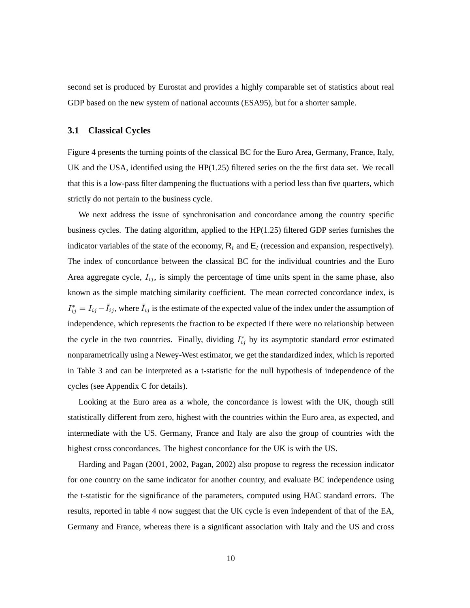second set is produced by Eurostat and provides a highly comparable set of statistics about real GDP based on the new system of national accounts (ESA95), but for a shorter sample.

### **3.1 Classical Cycles**

Figure 4 presents the turning points of the classical BC for the Euro Area, Germany, France, Italy, UK and the USA, identified using the HP(1.25) filtered series on the the first data set. We recall that this is a low-pass filter dampening the fluctuations with a period less than five quarters, which strictly do not pertain to the business cycle.

We next address the issue of synchronisation and concordance among the country specific business cycles. The dating algorithm, applied to the HP(1.25) filtered GDP series furnishes the indicator variables of the state of the economy,  $R_t$  and  $E_t$  (recession and expansion, respectively). The index of concordance between the classical BC for the individual countries and the Euro Area aggregate cycle,  $I_{ij}$ , is simply the percentage of time units spent in the same phase, also known as the simple matching similarity coefficient. The mean corrected concordance index, is  $I_{ij}^* = I_{ij} - \bar{I}_{ij}$ , where  $\bar{I}_{ij}$  is the estimate of the expected value of the index under the assumption of independence, which represents the fraction to be expected if there were no relationship between the cycle in the two countries. Finally, dividing  $I_{ij}^*$  by its asymptotic standard error estimated nonparametrically using a Newey-West estimator, we get the standardized index, which is reported in Table 3 and can be interpreted as a t-statistic for the null hypothesis of independence of the cycles (see Appendix C for details).

Looking at the Euro area as a whole, the concordance is lowest with the UK, though still statistically different from zero, highest with the countries within the Euro area, as expected, and intermediate with the US. Germany, France and Italy are also the group of countries with the highest cross concordances. The highest concordance for the UK is with the US.

Harding and Pagan (2001, 2002, Pagan, 2002) also propose to regress the recession indicator for one country on the same indicator for another country, and evaluate BC independence using the t-statistic for the significance of the parameters, computed using HAC standard errors. The results, reported in table 4 now suggest that the UK cycle is even independent of that of the EA, Germany and France, whereas there is a significant association with Italy and the US and cross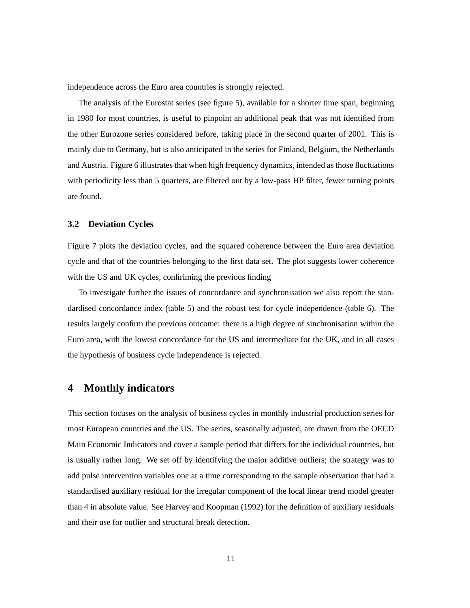independence across the Euro area countries is strongly rejected.

The analysis of the Eurostat series (see figure 5), available for a shorter time span, beginning in 1980 for most countries, is useful to pinpoint an additional peak that was not identified from the other Eurozone series considered before, taking place in the second quarter of 2001. This is mainly due to Germany, but is also anticipated in the series for Finland, Belgium, the Netherlands and Austria. Figure 6 illustrates that when high frequency dynamics, intended as those fluctuations with periodicity less than 5 quarters, are filtered out by a low-pass HP filter, fewer turning points are found.

### **3.2 Deviation Cycles**

Figure 7 plots the deviation cycles, and the squared coherence between the Euro area deviation cycle and that of the countries belonging to the first data set. The plot suggests lower coherence with the US and UK cycles, confiriming the previous finding

To investigate further the issues of concordance and synchronisation we also report the standardised concordance index (table 5) and the robust test for cycle independence (table 6). The results largely confirm the previous outcome: there is a high degree of sinchronisation within the Euro area, with the lowest concordance for the US and intermediate for the UK, and in all cases the hypothesis of business cycle independence is rejected.

### **4 Monthly indicators**

This section focuses on the analysis of business cycles in monthly industrial production series for most European countries and the US. The series, seasonally adjusted, are drawn from the OECD Main Economic Indicators and cover a sample period that differs for the individual countries, but is usually rather long. We set off by identifying the major additive outliers; the strategy was to add pulse intervention variables one at a time corresponding to the sample observation that had a standardised auxiliary residual for the irregular component of the local linear trend model greater than 4 in absolute value. See Harvey and Koopman (1992) for the definition of auxiliary residuals and their use for outlier and structural break detection.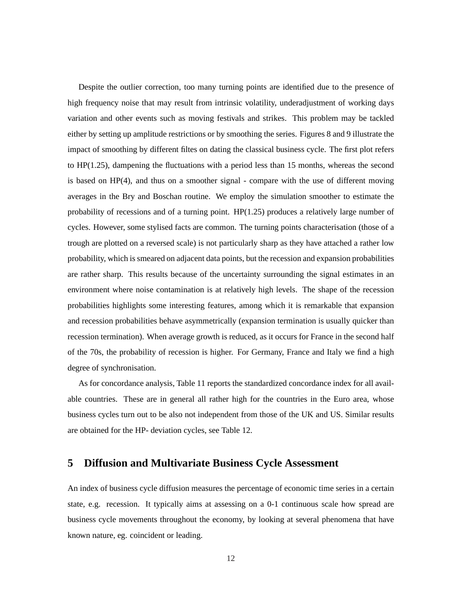Despite the outlier correction, too many turning points are identified due to the presence of high frequency noise that may result from intrinsic volatility, underadjustment of working days variation and other events such as moving festivals and strikes. This problem may be tackled either by setting up amplitude restrictions or by smoothing the series. Figures 8 and 9 illustrate the impact of smoothing by different filtes on dating the classical business cycle. The first plot refers to HP(1.25), dampening the fluctuations with a period less than 15 months, whereas the second is based on HP(4), and thus on a smoother signal - compare with the use of different moving averages in the Bry and Boschan routine. We employ the simulation smoother to estimate the probability of recessions and of a turning point. HP(1.25) produces a relatively large number of cycles. However, some stylised facts are common. The turning points characterisation (those of a trough are plotted on a reversed scale) is not particularly sharp as they have attached a rather low probability, which is smeared on adjacent data points, but the recession and expansion probabilities are rather sharp. This results because of the uncertainty surrounding the signal estimates in an environment where noise contamination is at relatively high levels. The shape of the recession probabilities highlights some interesting features, among which it is remarkable that expansion and recession probabilities behave asymmetrically (expansion termination is usually quicker than recession termination). When average growth is reduced, as it occurs for France in the second half of the 70s, the probability of recession is higher. For Germany, France and Italy we find a high degree of synchronisation.

As for concordance analysis, Table 11 reports the standardized concordance index for all available countries. These are in general all rather high for the countries in the Euro area, whose business cycles turn out to be also not independent from those of the UK and US. Similar results are obtained for the HP- deviation cycles, see Table 12.

### **5 Diffusion and Multivariate Business Cycle Assessment**

An index of business cycle diffusion measures the percentage of economic time series in a certain state, e.g. recession. It typically aims at assessing on a 0-1 continuous scale how spread are business cycle movements throughout the economy, by looking at several phenomena that have known nature, eg. coincident or leading.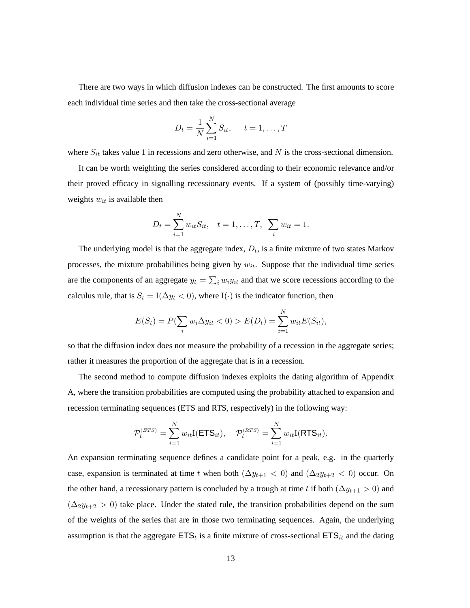There are two ways in which diffusion indexes can be constructed. The first amounts to score each individual time series and then take the cross-sectional average

$$
D_t = \frac{1}{N} \sum_{i=1}^{N} S_{it}, \quad t = 1, ..., T
$$

where  $S_{it}$  takes value 1 in recessions and zero otherwise, and N is the cross-sectional dimension.

It can be worth weighting the series considered according to their economic relevance and/or their proved efficacy in signalling recessionary events. If a system of (possibly time-varying) weights  $w_{it}$  is available then

$$
D_t = \sum_{i=1}^{N} w_{it} S_{it}, \quad t = 1, \dots, T, \quad \sum_i w_{it} = 1.
$$

The underlying model is that the aggregate index,  $D_t$ , is a finite mixture of two states Markov processes, the mixture probabilities being given by  $w_{it}$ . Suppose that the individual time series are the components of an aggregate  $y_t = \sum_i w_i y_{it}$  and that we score recessions according to the calculus rule, that is  $S_t = I(\Delta y_t < 0)$ , where  $I(\cdot)$  is the indicator function, then

$$
E(S_t) = P(\sum_i w_i \Delta y_{it} < 0) > E(D_t) = \sum_{i=1}^N w_{it} E(S_{it}),
$$

so that the diffusion index does not measure the probability of a recession in the aggregate series; rather it measures the proportion of the aggregate that is in a recession.

The second method to compute diffusion indexes exploits the dating algorithm of Appendix A, where the transition probabilities are computed using the probability attached to expansion and recession terminating sequences (ETS and RTS, respectively) in the following way:

$$
\mathcal{P}_t^{(ETS)} = \sum_{i=1}^N w_{it} I(\text{ETS}_{it}), \quad \mathcal{P}_t^{(RTS)} = \sum_{i=1}^N w_{it} I(\text{RTS}_{it}).
$$

An expansion terminating sequence defines a candidate point for a peak, e.g. in the quarterly case, expansion is terminated at time t when both  $(\Delta y_{t+1} < 0)$  and  $(\Delta_2 y_{t+2} < 0)$  occur. On the other hand, a recessionary pattern is concluded by a trough at time t if both ( $\Delta y_{t+1} > 0$ ) and  $(\Delta_2 y_{t+2} > 0)$  take place. Under the stated rule, the transition probabilities depend on the sum of the weights of the series that are in those two terminating sequences. Again, the underlying assumption is that the aggregate  $ETS_t$  is a finite mixture of cross-sectional  $ETS_{it}$  and the dating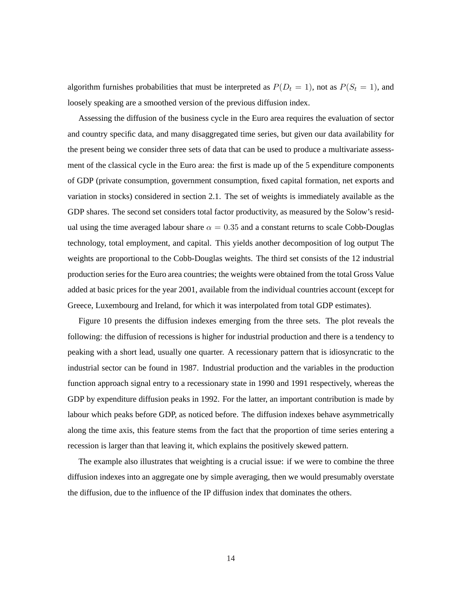algorithm furnishes probabilities that must be interpreted as  $P(D_t = 1)$ , not as  $P(S_t = 1)$ , and loosely speaking are a smoothed version of the previous diffusion index.

Assessing the diffusion of the business cycle in the Euro area requires the evaluation of sector and country specific data, and many disaggregated time series, but given our data availability for the present being we consider three sets of data that can be used to produce a multivariate assessment of the classical cycle in the Euro area: the first is made up of the 5 expenditure components of GDP (private consumption, government consumption, fixed capital formation, net exports and variation in stocks) considered in section 2.1. The set of weights is immediately available as the GDP shares. The second set considers total factor productivity, as measured by the Solow's residual using the time averaged labour share  $\alpha = 0.35$  and a constant returns to scale Cobb-Douglas technology, total employment, and capital. This yields another decomposition of log output The weights are proportional to the Cobb-Douglas weights. The third set consists of the 12 industrial production series for the Euro area countries; the weights were obtained from the total Gross Value added at basic prices for the year 2001, available from the individual countries account (except for Greece, Luxembourg and Ireland, for which it was interpolated from total GDP estimates).

Figure 10 presents the diffusion indexes emerging from the three sets. The plot reveals the following: the diffusion of recessions is higher for industrial production and there is a tendency to peaking with a short lead, usually one quarter. A recessionary pattern that is idiosyncratic to the industrial sector can be found in 1987. Industrial production and the variables in the production function approach signal entry to a recessionary state in 1990 and 1991 respectively, whereas the GDP by expenditure diffusion peaks in 1992. For the latter, an important contribution is made by labour which peaks before GDP, as noticed before. The diffusion indexes behave asymmetrically along the time axis, this feature stems from the fact that the proportion of time series entering a recession is larger than that leaving it, which explains the positively skewed pattern.

The example also illustrates that weighting is a crucial issue: if we were to combine the three diffusion indexes into an aggregate one by simple averaging, then we would presumably overstate the diffusion, due to the influence of the IP diffusion index that dominates the others.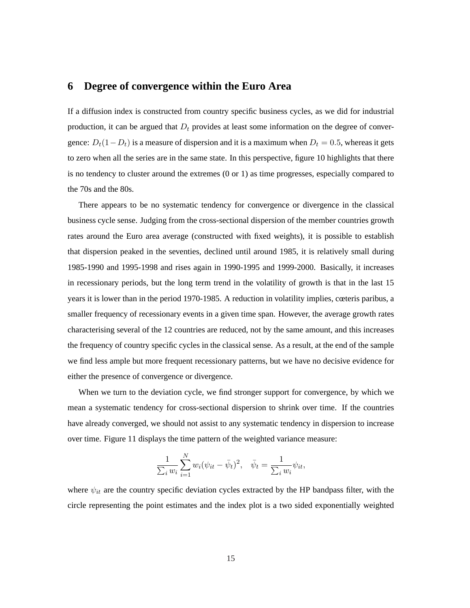# **6 Degree of convergence within the Euro Area**

If a diffusion index is constructed from country specific business cycles, as we did for industrial production, it can be argued that  $D_t$  provides at least some information on the degree of convergence:  $D_t(1-D_t)$  is a measure of dispersion and it is a maximum when  $D_t = 0.5$ , whereas it gets to zero when all the series are in the same state. In this perspective, figure 10 highlights that there is no tendency to cluster around the extremes (0 or 1) as time progresses, especially compared to the 70s and the 80s.

There appears to be no systematic tendency for convergence or divergence in the classical business cycle sense. Judging from the cross-sectional dispersion of the member countries growth rates around the Euro area average (constructed with fixed weights), it is possible to establish that dispersion peaked in the seventies, declined until around 1985, it is relatively small during 1985-1990 and 1995-1998 and rises again in 1990-1995 and 1999-2000. Basically, it increases in recessionary periods, but the long term trend in the volatility of growth is that in the last 15 years it is lower than in the period 1970-1985. A reduction in volatility implies, cœteris paribus, a smaller frequency of recessionary events in a given time span. However, the average growth rates characterising several of the 12 countries are reduced, not by the same amount, and this increases the frequency of country specific cycles in the classical sense. As a result, at the end of the sample we find less ample but more frequent recessionary patterns, but we have no decisive evidence for either the presence of convergence or divergence.

When we turn to the deviation cycle, we find stronger support for convergence, by which we mean a systematic tendency for cross-sectional dispersion to shrink over time. If the countries have already converged, we should not assist to any systematic tendency in dispersion to increase over time. Figure 11 displays the time pattern of the weighted variance measure:

$$
\frac{1}{\sum_{i} w_{i}} \sum_{i=1}^{N} w_{i} (\psi_{it} - \bar{\psi}_{t})^{2}, \quad \bar{\psi}_{t} = \frac{1}{\sum_{i} w_{i}} \psi_{it},
$$

where  $\psi_{it}$  are the country specific deviation cycles extracted by the HP bandpass filter, with the circle representing the point estimates and the index plot is a two sided exponentially weighted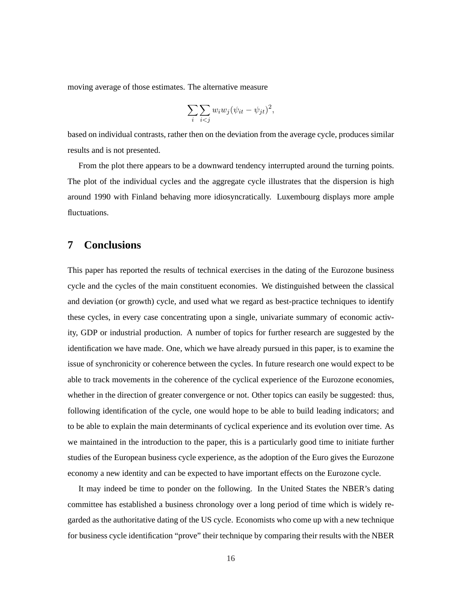moving average of those estimates. The alternative measure

$$
\sum_{i} \sum_{i < j} w_i w_j (\psi_{it} - \psi_{jt})^2,
$$

based on individual contrasts, rather then on the deviation from the average cycle, produces similar results and is not presented.

From the plot there appears to be a downward tendency interrupted around the turning points. The plot of the individual cycles and the aggregate cycle illustrates that the dispersion is high around 1990 with Finland behaving more idiosyncratically. Luxembourg displays more ample fluctuations.

# **7 Conclusions**

This paper has reported the results of technical exercises in the dating of the Eurozone business cycle and the cycles of the main constituent economies. We distinguished between the classical and deviation (or growth) cycle, and used what we regard as best-practice techniques to identify these cycles, in every case concentrating upon a single, univariate summary of economic activity, GDP or industrial production. A number of topics for further research are suggested by the identification we have made. One, which we have already pursued in this paper, is to examine the issue of synchronicity or coherence between the cycles. In future research one would expect to be able to track movements in the coherence of the cyclical experience of the Eurozone economies, whether in the direction of greater convergence or not. Other topics can easily be suggested: thus, following identification of the cycle, one would hope to be able to build leading indicators; and to be able to explain the main determinants of cyclical experience and its evolution over time. As we maintained in the introduction to the paper, this is a particularly good time to initiate further studies of the European business cycle experience, as the adoption of the Euro gives the Eurozone economy a new identity and can be expected to have important effects on the Eurozone cycle.

It may indeed be time to ponder on the following. In the United States the NBER's dating committee has established a business chronology over a long period of time which is widely regarded as the authoritative dating of the US cycle. Economists who come up with a new technique for business cycle identification "prove" their technique by comparing their results with the NBER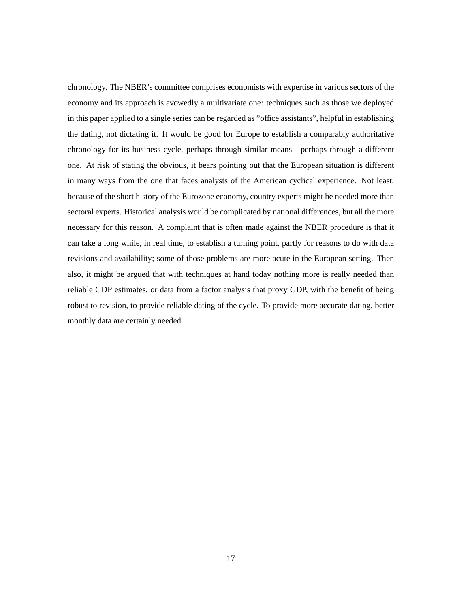chronology. The NBER's committee comprises economists with expertise in various sectors of the economy and its approach is avowedly a multivariate one: techniques such as those we deployed in this paper applied to a single series can be regarded as "office assistants", helpful in establishing the dating, not dictating it. It would be good for Europe to establish a comparably authoritative chronology for its business cycle, perhaps through similar means - perhaps through a different one. At risk of stating the obvious, it bears pointing out that the European situation is different in many ways from the one that faces analysts of the American cyclical experience. Not least, because of the short history of the Eurozone economy, country experts might be needed more than sectoral experts. Historical analysis would be complicated by national differences, but all the more necessary for this reason. A complaint that is often made against the NBER procedure is that it can take a long while, in real time, to establish a turning point, partly for reasons to do with data revisions and availability; some of those problems are more acute in the European setting. Then also, it might be argued that with techniques at hand today nothing more is really needed than reliable GDP estimates, or data from a factor analysis that proxy GDP, with the benefit of being robust to revision, to provide reliable dating of the cycle. To provide more accurate dating, better monthly data are certainly needed.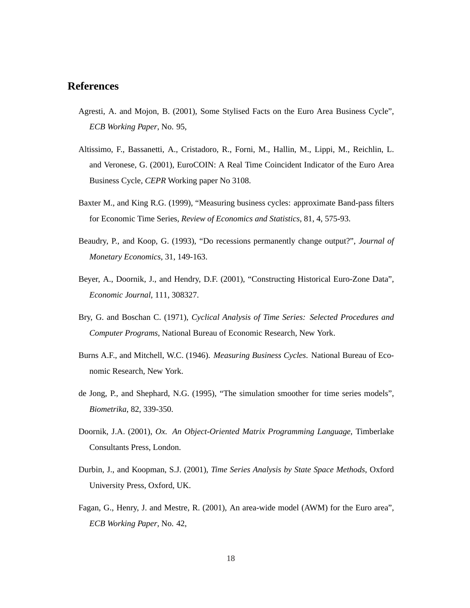# **References**

- Agresti, A. and Mojon, B. (2001), Some Stylised Facts on the Euro Area Business Cycle", *ECB Working Paper*, No. 95,
- Altissimo, F., Bassanetti, A., Cristadoro, R., Forni, M., Hallin, M., Lippi, M., Reichlin, L. and Veronese, G. (2001), EuroCOIN: A Real Time Coincident Indicator of the Euro Area Business Cycle, *CEPR* Working paper No 3108.
- Baxter M., and King R.G. (1999), "Measuring business cycles: approximate Band-pass filters for Economic Time Series, *Review of Economics and Statistics*, 81, 4, 575-93.
- Beaudry, P., and Koop, G. (1993), "Do recessions permanently change output?", *Journal of Monetary Economics*, 31, 149-163.
- Beyer, A., Doornik, J., and Hendry, D.F. (2001), "Constructing Historical Euro-Zone Data", *Economic Journal*, 111, 308327.
- Bry, G. and Boschan C. (1971), *Cyclical Analysis of Time Series: Selected Procedures and Computer Programs*, National Bureau of Economic Research, New York.
- Burns A.F., and Mitchell, W.C. (1946). *Measuring Business Cycles*. National Bureau of Economic Research, New York.
- de Jong, P., and Shephard, N.G. (1995), "The simulation smoother for time series models", *Biometrika*, 82, 339-350.
- Doornik, J.A. (2001), *Ox. An Object-Oriented Matrix Programming Language*, Timberlake Consultants Press, London.
- Durbin, J., and Koopman, S.J. (2001), *Time Series Analysis by State Space Methods*, Oxford University Press, Oxford, UK.
- Fagan, G., Henry, J. and Mestre, R. (2001), An area-wide model (AWM) for the Euro area", *ECB Working Paper*, No. 42,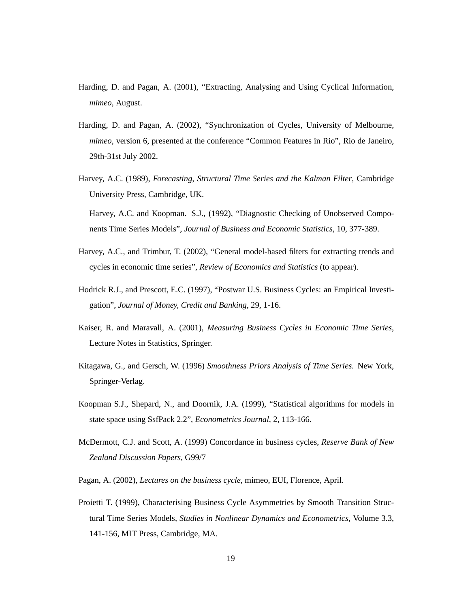- Harding, D. and Pagan, A. (2001), "Extracting, Analysing and Using Cyclical Information, *mimeo*, August.
- Harding, D. and Pagan, A. (2002), "Synchronization of Cycles, University of Melbourne, *mimeo*, version 6, presented at the conference "Common Features in Rio", Rio de Janeiro, 29th-31st July 2002.
- Harvey, A.C. (1989), *Forecasting, Structural Time Series and the Kalman Filter*, Cambridge University Press, Cambridge, UK.

Harvey, A.C. and Koopman. S.J., (1992), "Diagnostic Checking of Unobserved Components Time Series Models", *Journal of Business and Economic Statistics*, 10, 377-389.

- Harvey, A.C., and Trimbur, T. (2002), "General model-based filters for extracting trends and cycles in economic time series", *Review of Economics and Statistics* (to appear).
- Hodrick R.J., and Prescott, E.C. (1997), "Postwar U.S. Business Cycles: an Empirical Investigation", *Journal of Money, Credit and Banking*, 29, 1-16.
- Kaiser, R. and Maravall, A. (2001), *Measuring Business Cycles in Economic Time Series*, Lecture Notes in Statistics, Springer.
- Kitagawa, G., and Gersch, W. (1996) *Smoothness Priors Analysis of Time Series*. New York, Springer-Verlag.
- Koopman S.J., Shepard, N., and Doornik, J.A. (1999), "Statistical algorithms for models in state space using SsfPack 2.2", *Econometrics Journal*, 2, 113-166.
- McDermott, C.J. and Scott, A. (1999) Concordance in business cycles, *Reserve Bank of New Zealand Discussion Papers*, G99/7
- Pagan, A. (2002), *Lectures on the business cycle*, mimeo, EUI, Florence, April.
- Proietti T. (1999), Characterising Business Cycle Asymmetries by Smooth Transition Structural Time Series Models, *Studies in Nonlinear Dynamics and Econometrics*, Volume 3.3, 141-156, MIT Press, Cambridge, MA.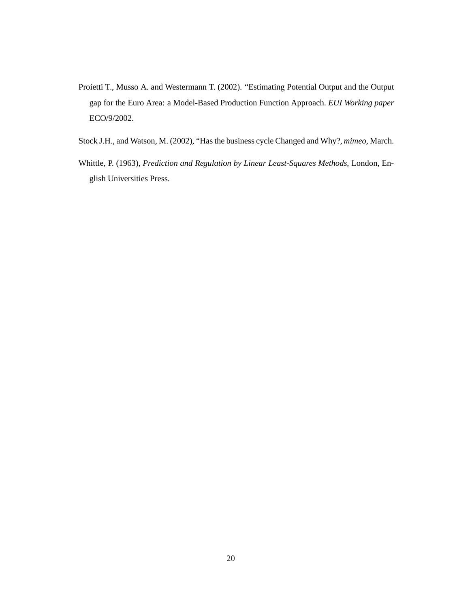- Proietti T., Musso A. and Westermann T. (2002). "Estimating Potential Output and the Output gap for the Euro Area: a Model-Based Production Function Approach. *EUI Working paper* ECO/9/2002.
- Stock J.H., and Watson, M. (2002), "Has the business cycle Changed and Why?, *mimeo*, March.
- Whittle, P. (1963), *Prediction and Regulation by Linear Least-Squares Methods*, London, English Universities Press.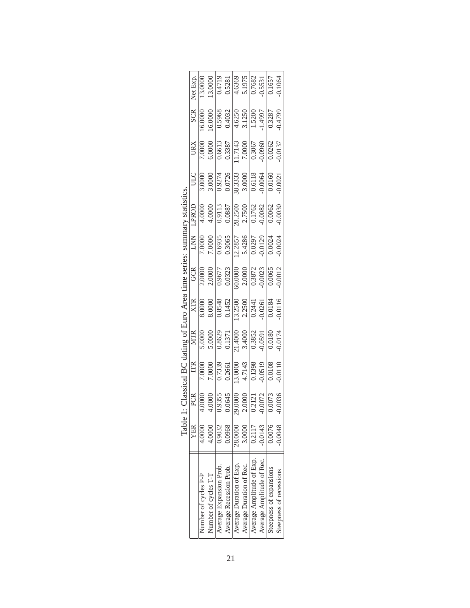|                                                                                                      | Net Exp. | 13.0000              |                                                                                                                                                                  |                         |                         |                          | $\begin{array}{r} 13.0000 \\ \hline 0.4719 \\ -0.5281 \\ \hline 4.6369 \\ -5.1975 \\ \hline 0.7682 \\ -0.5531 \\ \hline 0.0433 \\ \end{array}$ |                           |                           |                         | 0.1064                  |
|------------------------------------------------------------------------------------------------------|----------|----------------------|------------------------------------------------------------------------------------------------------------------------------------------------------------------|-------------------------|-------------------------|--------------------------|------------------------------------------------------------------------------------------------------------------------------------------------|---------------------------|---------------------------|-------------------------|-------------------------|
|                                                                                                      | SCR      | 16.0000              |                                                                                                                                                                  |                         |                         |                          | $\begin{array}{r l} 16.0000\\ \hline 0.5968\\ \hline 0.4032\\ \hline 4.6250\\ \hline 3.1250\\ \hline 1.5200\\ \hline \end{array}$              |                           |                           | 0.3287                  | 0.4799                  |
|                                                                                                      | URX      |                      | 7.0000<br>6.0000                                                                                                                                                 |                         |                         |                          | $\begin{array}{ l} \hline 0.6613 \\ 0.3387 \\ 0.17143 \\ 7.0000 \\ \hline 0.3067 \\ 0.3067 \\ \hline \end{array}$                              |                           |                           | 0.0262                  | 0.0137                  |
|                                                                                                      | ULC      |                      | $\begin{array}{r} 3.0000 \\ 3.0000 \\ 0.9274 \\ 0.0726 \\ 0.0726 \\ 3.0000 \\ 3.0000 \\ 0.6118 \\ 0.0064 \\ 0.0064 \end{array}$                                  |                         |                         |                          |                                                                                                                                                |                           |                           |                         | 0.0021                  |
| 1: Classical BC dating of Euro Area time series: summary statistics<br>PCR TTR MTR XTR GCR LNN LPROD |          |                      | $\begin{array}{r} 4.0000 \\ 4.0000 \\ \hline 0.9113 \\ 0.0887 \\ 2.7500 \\ 2.7500 \\ 0.1762 \\ 0.0082 \\ 0.0062 \\ \hline \end{array}$                           |                         |                         |                          |                                                                                                                                                |                           |                           |                         |                         |
|                                                                                                      |          |                      | $\begin{array}{r} 7.0000 \\ 7.0000 \\ -7.0000 \\ 0.6935 \\ -0.3065 \\ -0.3065 \\ -0.0297 \\ -0.0024 \\ -0.0024 \\ -0.0024 \\ \end{array}$                        |                         |                         |                          |                                                                                                                                                |                           |                           |                         |                         |
|                                                                                                      |          |                      | $\begin{array}{r l} \hline \text{GCR} \\ \hline 2.0000 \\ 2.0000 \\ 0.9677 \\ 0.0323 \\ 0.0333 \\ 0.0000 \\ 0.0000 \\ 0.0003 \\ \hline \end{array}$              |                         |                         |                          |                                                                                                                                                |                           |                           |                         | 0.0012                  |
|                                                                                                      |          |                      | $\begin{array}{r l} 0.0000 \\ \hline 8.0000 \\ 0.8548 \\ \hline 0.1452 \\ 0.1452 \\ 113.2500 \\ 0.2441 \\ 0.0261 \\ \hline 0.0184 \end{array}$                   |                         |                         |                          |                                                                                                                                                |                           |                           |                         | $-0.0116$               |
|                                                                                                      |          |                      | $\begin{array}{r} 5.0000\\ 5.0000\\ -5.0000\\ 0.8629\\ 0.1371\\ -1.4000\\ -3.4000\\ -0.3852\\ \end{array}$                                                       |                         |                         |                          |                                                                                                                                                |                           |                           | $\frac{0.0180}{2}$      | 0.0174                  |
|                                                                                                      |          |                      | $\begin{array}{r} \hline 7.0000\\ 7.0000\\ 0.7339\\ 0.2661\\ 0.2661\\ 1.3000\\ 1.47143\\ 0.1398\\ 0.0010\\ 0.0100\\ 0.0100\\ 0.010\\ 0.010\\ \hline \end{array}$ |                         |                         |                          |                                                                                                                                                |                           |                           |                         |                         |
|                                                                                                      |          |                      | PCR<br>4.0000<br>4.0000<br>0.0545<br>0.0000<br>0.0121<br>2.00072<br>0.0072                                                                                       |                         |                         |                          |                                                                                                                                                |                           |                           | $\frac{0.0073}{2}$      | $-0.0036$               |
| Table                                                                                                | YER      | 4.0000               | 4.0000                                                                                                                                                           | 0.9032                  | 0.0968                  | 28.0000                  | 3.0000                                                                                                                                         | 0.2117                    | 0.0143                    | 0.0076                  | 0.0048                  |
|                                                                                                      |          | Number of cycles P-P | Number of cycles T-T                                                                                                                                             | Average Expansion Prob. | Average Recession Prob. | Average Duration of Exp. | Average Duration of Rec.                                                                                                                       | Average Amplitude of Exp. | Average Amplitude of Rec. | Steepness of expansions | Steepness of recessions |

|        | Í                    |                                                             |
|--------|----------------------|-------------------------------------------------------------|
|        |                      |                                                             |
|        |                      | ֖֖֖֖֖֖֧ׅ֖ׅ֪ׅ֖֧ׅ֖֖֪֪ׅ֖֧֚֚֚֚֚֚֚֚֚֚֚֚֚֚֚֚֚֚֚֚֚֚֚֚֚֚֚֚֬֕֓֕֬֝֝֝֝ |
|        |                      |                                                             |
|        |                      |                                                             |
|        | こうこく きんこく くらい        |                                                             |
|        |                      |                                                             |
|        |                      | l                                                           |
|        |                      | I                                                           |
|        |                      |                                                             |
|        |                      | l<br>i                                                      |
|        |                      |                                                             |
|        |                      |                                                             |
|        |                      |                                                             |
|        |                      |                                                             |
|        |                      |                                                             |
|        |                      |                                                             |
|        |                      |                                                             |
| l      |                      | $\vdots$                                                    |
|        |                      |                                                             |
|        | $\ddot{\phantom{a}}$ |                                                             |
|        |                      | ١                                                           |
|        |                      | $\ddotsc$                                                   |
|        |                      |                                                             |
|        |                      |                                                             |
| )<br>ג |                      |                                                             |
|        |                      |                                                             |
|        |                      |                                                             |
|        |                      | I                                                           |
|        |                      |                                                             |
|        |                      | i                                                           |
| i      |                      |                                                             |
|        |                      | I                                                           |
|        |                      | I                                                           |
| l      |                      | l<br>l                                                      |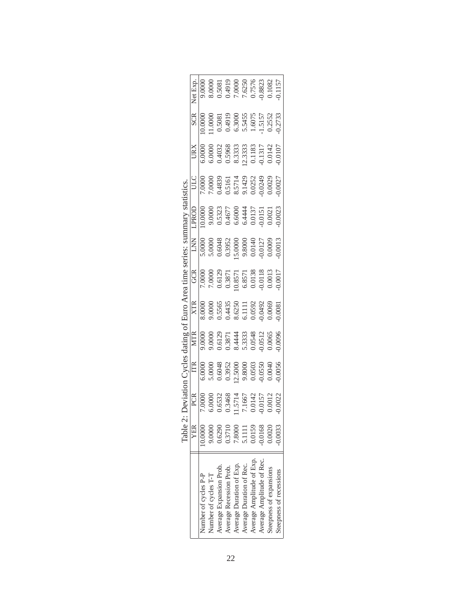|                                                        | Net Exp     |                      | $\begin{array}{l} 9.0000\\ 8.0000\\ 0.5081\\ 0.4919\\ 7.6250\\ 7.6250\\ 0.7576\\ 0.1082\\ 0.1082\\ 0.1082\\ 0.1082\\ 0.1082\\ 0.1082\\ 0.1083\\ 0.1083\\ 0.1083\\ 0.1083\\ 0.1083\\ 0.1083\\ 0.1083\\ 0.1083\\ 0.1083\\ 0.1083\\ 0.1083\\ 0.1083\\ 0.1083\\ 0.10$ |                         |                         |                          |                          |                           |                           |                         |                         |
|--------------------------------------------------------|-------------|----------------------|-------------------------------------------------------------------------------------------------------------------------------------------------------------------------------------------------------------------------------------------------------------------|-------------------------|-------------------------|--------------------------|--------------------------|---------------------------|---------------------------|-------------------------|-------------------------|
|                                                        | <b>SCR</b>  |                      | 10.0000<br>11.0000<br>0.5081<br>0.4919<br>0.3455<br>5.5455<br>1.5157<br>1.5157<br>0.2552                                                                                                                                                                          |                         |                         |                          |                          |                           |                           |                         |                         |
|                                                        | URX         |                      | $\begin{array}{c} 6.0000\\ 6.0000\\ 0.4032\\ 0.5968\\ 0.5333\\ 2.3333\\ 0.1183\\ 0.1317\\ 0.0142\\ 0.0142\\ 0.0142\\ 0.0142\\ 0.0107\\ 0.0107 \end{array}$                                                                                                        |                         |                         |                          |                          |                           |                           |                         |                         |
|                                                        | ULC         |                      | $\begin{array}{l} 7.0000\\ 7.0000\\ 0.4839\\ 0.5161\\ 0.51714\\ 0.0252\\ 0.00249\\ 0.00252\\ 0.0029\\ 0.0029\\ 0.0027\\ 0.0027\\ 0.0027\\ \end{array}$                                                                                                            |                         |                         |                          |                          |                           |                           |                         |                         |
| nary statistics                                        | LPROD       |                      | $\begin{array}{l} 0.0000\\ 9.0000\\ 0.5323\\ 0.4677\\ 0.6000\\ 6.6000\\ 0.0137\\ 0.0021\\ 0.0021\\ 0.0023 \end{array}$                                                                                                                                            |                         |                         |                          |                          |                           |                           |                         |                         |
|                                                        | <b>EXLI</b> |                      | $\begin{array}{l} 5.0000\\ 5.0000\\ 0.6048\\ 0.3952\\ 0.0000\\ 0.3952\\ 0.0000\\ 0.0147\\ 0.0009\\ 0.0009\\ 0.0000\\ 0.0003\\ 0.0013\\ \end{array}$                                                                                                               |                         |                         |                          |                          |                           |                           |                         |                         |
| : Deviation Cycles dating of Euro Area time series: su | GCR         |                      | 7.0000<br>7.0000<br>0.6129<br>0.63571<br>0.0138<br>6.8571<br>0.0013<br>0.0013                                                                                                                                                                                     |                         |                         |                          |                          |                           |                           |                         |                         |
|                                                        | <b>XTR</b>  |                      | 8.0000<br>9.0000<br>0.5565<br>0.5650<br>0.0592<br>6.1111<br>0.0592<br>0.0069                                                                                                                                                                                      |                         |                         |                          |                          |                           |                           |                         | 0.0081                  |
|                                                        | <b>NTR</b>  |                      | 9.0000<br>9.0000<br>0.6129<br>0.63871<br>8.4444<br>8.3333<br>5.30388<br>0.0065<br>0.0005                                                                                                                                                                          |                         |                         |                          |                          |                           |                           |                         |                         |
|                                                        | E           |                      | $\begin{array}{l} 6.0000\\ 5.0000\\ 0.6048\\ 0.3952\\ 0.13952\\ 0.0000\\ 0.0000\\ 0.0000\\ 0.0004\\ 0.0050\\ 0.0040\\ 0.0056\\ 0.0056 \end{array}$                                                                                                                |                         |                         |                          |                          |                           |                           |                         |                         |
|                                                        | PCR         |                      | 7.0000<br>6.0000<br>6.6532<br>0.6532<br>0.65714<br>0.0157<br>7.1667<br>0.00157<br>0.00157                                                                                                                                                                         |                         |                         |                          |                          |                           |                           |                         |                         |
| Table 2                                                | YER         | 0.0000               | 9.0000                                                                                                                                                                                                                                                            | 0.6290                  | 0.3710                  | 7.8000                   | 5.1111                   | 0.0159                    | $-0.0168$                 | 0.0020                  | 0.0033                  |
|                                                        |             | Number of cycles P-P | Number of cycles T-T                                                                                                                                                                                                                                              | Average Expansion Prob. | Average Recession Prob. | Average Duration of Exp. | Average Duration of Rec. | Average Amplitude of Exp. | Average Amplitude of Rec. | Steepness of expansions | Steepness of recessions |

| Table 2: Deviation Cycles dating of Euro Area time series: summary statisti |
|-----------------------------------------------------------------------------|
|                                                                             |
|                                                                             |
|                                                                             |
|                                                                             |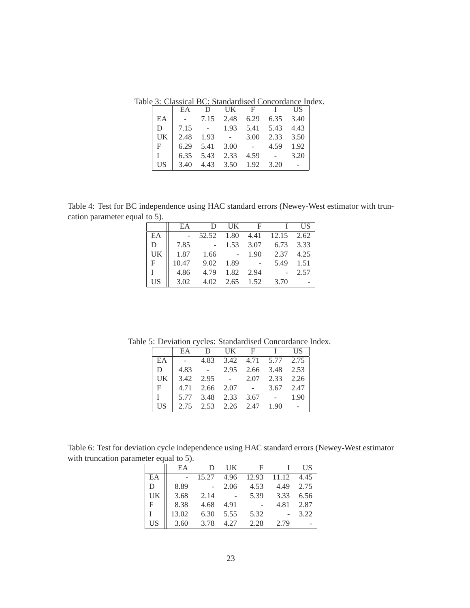Table 3: Classical BC: Standardised Concordance Index.

|             | EA                                                                                                             |                            | D UK F | I US          |  |
|-------------|----------------------------------------------------------------------------------------------------------------|----------------------------|--------|---------------|--|
| EA          | $\parallel$ - 7.15 2.48 6.29 6.35 3.40                                                                         |                            |        |               |  |
| D           |                                                                                                                | 7.15 - 1.93 5.41 5.43 4.43 |        |               |  |
| UK          |                                                                                                                |                            |        |               |  |
| $F_{\perp}$ | $\begin{array}{ l cccc }2.48 & 1.93 & - & 3.00 & 2.33 & 3.50\\6.29 & 5.41 & 3.00 & - & 4.59 & 1.92\end{array}$ |                            |        |               |  |
|             | $\parallel$ 6.35 5.43 2.33                                                                                     |                            |        | $4.59 - 3.20$ |  |
| US          |                                                                                                                | 3.40 4.43 3.50 1.92 3.20   |        |               |  |

Table 4: Test for BC independence using HAC standard errors (Newey-West estimator with truncation parameter equal to 5).

|                 | EA    | D      | UK                           | $\mathbf{F}$ |                            | <b>IIS</b> |
|-----------------|-------|--------|------------------------------|--------------|----------------------------|------------|
| EA              |       |        |                              |              | 52.52 1.80 4.41 12.15 2.62 |            |
| D               | 7.85  | $\sim$ | 1.53                         | 3.07         | 6.73 3.33                  |            |
| UK              | 1.87  | 1.66   | $\sim 10^7$                  | 1.90         | 2.37                       | 4.25       |
| $\mathbf F$     | 10.47 |        | 9.02 1.89                    | $\sim 100$   | 5.49                       | 1.51       |
| $\mathbf{I}$    | 4.86  | 4.79   | 1.82                         | 2.94         |                            | 2.57       |
| US <sup>-</sup> | 3.02  |        | $4.02 \quad 2.65 \quad 1.52$ |              | 3.70                       |            |

Table 5: Deviation cycles: Standardised Concordance Index.

|   | EA D UK F I US                                                                                      |  |  |  |
|---|-----------------------------------------------------------------------------------------------------|--|--|--|
|   | EA $\parallel$ - 4.83 3.42 4.71 5.77 2.75                                                           |  |  |  |
| D | $\parallel$ 4.83 - 2.95 2.66 3.48 2.53                                                              |  |  |  |
|   |                                                                                                     |  |  |  |
|   | UK 3.42 2.95 - 2.07 2.33 2.26<br>F 4.71 2.66 2.07 - 3.67 2.47                                       |  |  |  |
|   | $\begin{array}{ c c c c c c } \hline 1 & 5.77 & 3.48 & 2.33 & 3.67 & - & 1.90 \ \hline \end{array}$ |  |  |  |
|   | US $\parallel$ 2.75 2.53 2.26 2.47 1.90 -                                                           |  |  |  |

Table 6: Test for deviation cycle independence using HAC standard errors (Newey-West estimator with truncation parameter equal to 5).

|              | EA     | D     | UK   | $\mathbf{F}$ | L.               | US   |
|--------------|--------|-------|------|--------------|------------------|------|
| EA           | $\sim$ | 15.27 | 4.96 |              | 12.93 11.12 4.45 |      |
| D            | 8.89   |       | 2.06 | 4.53         | 4.49             | 2.75 |
| UK           | 3.68   | 2.14  |      | 5.39         | 3.33             | 6.56 |
| $\mathbf{F}$ | 8.38   | 4.68  | 4.91 |              | 4.81             | 2.87 |
|              | 13.02  | 6.30  | 5.55 | 5.32         |                  | 3.22 |
| <b>US</b>    | 3.60   | 3.78  | 4.27 | 2.28         | 2.79             |      |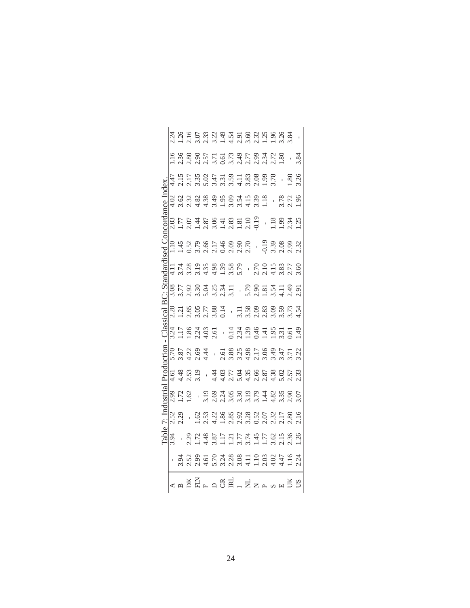|               |                 |                |                           |                           | $1.580$<br>$2.80$<br>$3.80$<br>$5.77$<br>$5.79$<br>$7.80$<br>$7.70$<br>$7.79$<br>$7.80$<br>$7.80$                                                                                                                                                                                                                                                 |              |  |                                                    |                |                      |    |
|---------------|-----------------|----------------|---------------------------|---------------------------|---------------------------------------------------------------------------------------------------------------------------------------------------------------------------------------------------------------------------------------------------------------------------------------------------------------------------------------------------|--------------|--|----------------------------------------------------|----------------|----------------------|----|
|               | -47             |                |                           | $\frac{35}{2}$            | $\begin{array}{c} 0.07 \\ 0.0000 \\ 0.00000 \\ 0.00000 \\ 0.00000 \\ 0.00000 \\ 0.00000 \\ 0.00000 \\ 0.00000 \\ 0.00000 \\ 0.00000 \\ 0.00000 \\ 0.00000 \\ 0.00000 \\ 0.00000 \\ 0.00000 \\ 0.00000 \\ 0.00000 \\ 0.00000 \\ 0.00000 \\ 0.00000 \\ 0.00000 \\ 0.00000 \\ 0.00000 \\ $                                                           |              |  |                                                    | 3.78           | œ.                   |    |
|               | 4.02            |                |                           |                           |                                                                                                                                                                                                                                                                                                                                                   |              |  |                                                    | $\overline{1}$ | 3.78<br>2.72<br>1.96 |    |
|               | 2.03            |                |                           |                           |                                                                                                                                                                                                                                                                                                                                                   |              |  |                                                    |                |                      |    |
|               |                 |                |                           |                           | $1.1472$<br>$1.472$<br>$1.572$<br>$1.572$<br>$1.572$<br>$1.572$<br>$1.572$<br>$1.572$<br>$1.572$<br>$1.572$<br>$1.572$                                                                                                                                                                                                                            |              |  |                                                    |                |                      |    |
|               | $\Xi$           |                |                           |                           |                                                                                                                                                                                                                                                                                                                                                   |              |  | $-2.70$<br>$-2.19$<br>$-1.5$<br>$-3.83$<br>$-2.77$ |                |                      |    |
|               | $\frac{80}{10}$ | LĹ.            |                           |                           | $\begin{array}{c} 0.903 & 0.904 & 0.904 & 0.904 & 0.904 & 0.904 & 0.904 & 0.904 & 0.904 & 0.904 & 0.904 & 0.904 & 0.904 & 0.904 & 0.904 & 0.904 & 0.904 & 0.904 & 0.904 & 0.904 & 0.904 & 0.904 & 0.904 & 0.904 & 0.904 & 0.904 & 0.904 & 0.904 & 0.904 & 0.904 & 0.$                                                                             |              |  |                                                    |                |                      |    |
| igu.          |                 |                |                           |                           |                                                                                                                                                                                                                                                                                                                                                   |              |  |                                                    |                |                      |    |
|               |                 |                |                           |                           | 21<br>21 22 23 23 24 25 26 27 28 27 28 29<br>22 22 23 24 25 26 27 28 29 20 21 22 23 24 25 26 27                                                                                                                                                                                                                                                   |              |  |                                                    |                |                      |    |
|               |                 | 22364<br>22364 |                           |                           | $-2.5885357752$                                                                                                                                                                                                                                                                                                                                   |              |  |                                                    |                |                      |    |
|               | 1.61            | $\ddot{ }$     | 2.53                      |                           |                                                                                                                                                                                                                                                                                                                                                   | 407396888050 |  |                                                    |                |                      |    |
|               | 99.             | 72             | $\widetilde{\mathcal{C}}$ |                           |                                                                                                                                                                                                                                                                                                                                                   |              |  |                                                    |                |                      |    |
|               | 2.52            | $\ddot{5}$     |                           | $\widetilde{\mathcal{C}}$ |                                                                                                                                                                                                                                                                                                                                                   |              |  |                                                    |                |                      |    |
| $\frac{1}{2}$ |                 |                | $\ddot{5}$                |                           | $\begin{array}{c}\n 1.487 \\  1.487 \\  1.51 \\  1.61 \\  1.75 \\  1.75 \\  1.75 \\  1.75 \\  1.75 \\  1.75 \\  1.75 \\  1.75 \\  1.75 \\  1.75 \\  1.75 \\  1.75 \\  1.75 \\  1.75 \\  1.75 \\  1.75 \\  1.75 \\  1.75 \\  1.75 \\  1.75 \\  1.75 \\  1.75 \\  1.75 \\  1.75 \\  1.75 \\  1.75 \\  1.75 \\  1.75 \\  1.75 \\  1.75 \\  1.75 \\ $ |              |  |                                                    |                |                      |    |
|               |                 |                |                           |                           |                                                                                                                                                                                                                                                                                                                                                   |              |  |                                                    |                |                      |    |
|               |                 |                |                           |                           | $\overline{\triangle}$ $\overline{\triangle}$ $\overline{\triangle}$ $\overline{\triangle}$ $\overline{\triangle}$ $\overline{\triangle}$ $\overline{\triangle}$                                                                                                                                                                                  |              |  |                                                    |                | B                    | SU |

24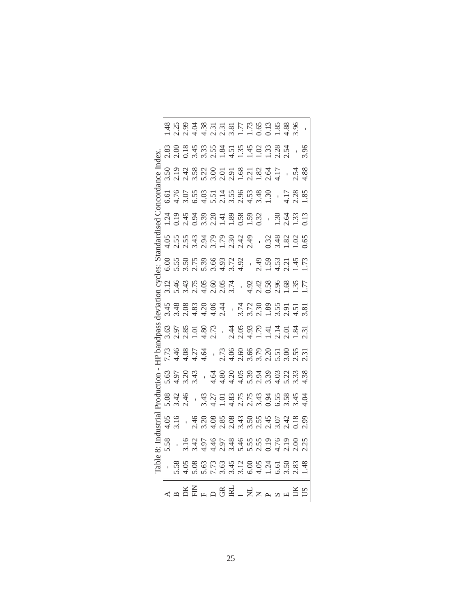| dex.    | .83                       |                  | $2.028$<br>$0.345$<br>$0.345$<br>$0.545$<br>$0.545$<br>$0.545$<br>$0.545$<br>$0.545$<br>$0.545$                                                                                                                                                                           |  |  |  |                |                      |     |                               | .86 |
|---------|---------------------------|------------------|---------------------------------------------------------------------------------------------------------------------------------------------------------------------------------------------------------------------------------------------------------------------------|--|--|--|----------------|----------------------|-----|-------------------------------|-----|
|         | .50                       |                  |                                                                                                                                                                                                                                                                           |  |  |  |                |                      |     | $\frac{54}{38}$               |     |
|         | 5.61                      |                  | $1.50557140803430$<br>$1.50557140803430$                                                                                                                                                                                                                                  |  |  |  |                |                      | LI7 | 28.85                         |     |
|         | $\frac{54}{3}$            |                  | 2.43884788893                                                                                                                                                                                                                                                             |  |  |  | $\overline{1}$ | $\ddot{\mathcal{E}}$ |     | $\frac{3}{13}$ $\frac{3}{13}$ |     |
|         |                           |                  |                                                                                                                                                                                                                                                                           |  |  |  |                |                      |     |                               |     |
|         | $\frac{0}{0}$             |                  | $5.508303130$<br>$5.508303130$<br>$5.508303130$<br>$5.5093031473$                                                                                                                                                                                                         |  |  |  |                |                      |     |                               |     |
|         |                           |                  |                                                                                                                                                                                                                                                                           |  |  |  |                |                      |     |                               |     |
|         | 55.                       |                  | 8 8 8 8 9 9 4<br>8 8 8 8 9 9 4 1 7 8 9 8 9 5 5 5 6<br>8 8 8 9 9 4 1 1 2 9 8 9 5 5 5 6                                                                                                                                                                                     |  |  |  |                |                      |     |                               |     |
|         | $\widetilde{\mathcal{C}}$ |                  |                                                                                                                                                                                                                                                                           |  |  |  |                |                      |     |                               |     |
|         |                           |                  | 7. 4807<br>19807 - 1980 1980 1980 1981<br>1982 - 1982 1983 1984 1985 1986 1987                                                                                                                                                                                            |  |  |  |                |                      |     |                               |     |
|         | .63                       |                  |                                                                                                                                                                                                                                                                           |  |  |  |                |                      |     |                               |     |
|         | 5.08                      | $\frac{42}{146}$ | $1.33$<br>$3.43$<br>$1.27$<br>$1.33$<br>$1.53$<br>$1.53$<br>$1.53$<br>$1.53$<br>$1.53$<br>$1.53$<br>$1.53$<br>$1.53$                                                                                                                                                      |  |  |  |                |                      |     |                               | Ś   |
| istrial | 4.05                      | 3.16             | $\begin{array}{cccccccccc}\n46.0885 & 0.0833 & 0.0000 & 0.0000 & 0.0000 & 0.0000 & 0.0000 & 0.0000 & 0.0000 & 0.0000 & 0.0000 & 0.0000 & 0.0000 & 0.0000 & 0.0000 & 0.0000 & 0.0000 & 0.0000 & 0.0000 & 0.0000 & 0.0000 & 0.0000 & 0.0000 & 0.0000 & 0.0000 & 0.0000 & 0$ |  |  |  |                |                      |     |                               |     |
| й: Z    | 5.58                      |                  | $1.5$<br>$3.42$ $5.45$ $5.42$ $5.42$ $5.42$ $5.42$ $5.42$ $5.42$ $5.42$ $5.42$ $5.42$ $5.42$ $5.42$ $5.42$ $5.42$ $5.42$ $5.42$ $5.42$ $5.42$ $5.42$ $5.42$ $5.42$ $5.42$ $5.42$ $5.42$ $5.42$ $5.42$ $5.42$ $5.42$ $5.42$ $5.42$                                         |  |  |  |                |                      |     |                               |     |
| Cable   |                           |                  | $5.88$<br>$5.68$<br>$5.62$<br>$5.67$<br>$5.67$<br>$5.67$<br>$5.67$<br>$5.67$<br>$5.67$<br>$5.67$<br>$5.67$<br>$5.67$<br>$5.67$<br>$5.67$<br>$5.67$<br>$5.67$<br>$5.67$<br>$5.67$<br>$5.67$<br>$5.67$<br><br>$5.67$<br>                                                    |  |  |  |                |                      |     |                               |     |
|         |                           |                  | ⋖ᇳ⋚ӖҥᆷᢡӖ∟⋛ <i>≍</i>                                                                                                                                                                                                                                                       |  |  |  |                |                      |     |                               |     |

|                                                                                                                                                                                                                                                                                                  | Table | $\dot{\mathbf{x}}$ | stria | Production |                                                                        | tpass | deviation | $CVC$ es:                               | Standardised                                                                                                                         | Concordance | ndex |  |
|--------------------------------------------------------------------------------------------------------------------------------------------------------------------------------------------------------------------------------------------------------------------------------------------------|-------|--------------------|-------|------------|------------------------------------------------------------------------|-------|-----------|-----------------------------------------|--------------------------------------------------------------------------------------------------------------------------------------|-------------|------|--|
|                                                                                                                                                                                                                                                                                                  |       |                    |       |            |                                                                        |       |           |                                         |                                                                                                                                      |             |      |  |
|                                                                                                                                                                                                                                                                                                  |       |                    |       |            |                                                                        |       |           |                                         |                                                                                                                                      |             |      |  |
| $\frac{8}{5.80}$ $\frac{8}{5.80}$ $\frac{8}{5.80}$ $\frac{8}{5.80}$ $\frac{8}{5.80}$ $\frac{8}{5.80}$ $\frac{8}{5.80}$ $\frac{8}{5.80}$ $\frac{8}{5.80}$ $\frac{8}{5.80}$ $\frac{8}{5.80}$ $\frac{8}{5.80}$ $\frac{8}{5.80}$ $\frac{8}{5.80}$ $\frac{8}{5.80}$ $\frac{8}{5.80}$ $\frac{8}{5.80}$ |       |                    |       |            |                                                                        |       |           |                                         |                                                                                                                                      |             |      |  |
|                                                                                                                                                                                                                                                                                                  |       |                    |       |            |                                                                        |       |           |                                         |                                                                                                                                      |             |      |  |
|                                                                                                                                                                                                                                                                                                  |       |                    |       |            |                                                                        |       |           |                                         |                                                                                                                                      |             |      |  |
|                                                                                                                                                                                                                                                                                                  |       |                    |       |            |                                                                        |       |           |                                         |                                                                                                                                      |             |      |  |
|                                                                                                                                                                                                                                                                                                  |       |                    |       |            |                                                                        |       |           |                                         |                                                                                                                                      |             |      |  |
|                                                                                                                                                                                                                                                                                                  |       |                    |       |            | 714414 - 716066015067<br>714414 - 716066015067<br>714414 - 71606601506 |       |           | 146156011 22222222<br>15222222222222222 | $4.55$<br>$5.5$<br>$6.5$<br>$6.5$<br>$7.5$<br>$7.5$<br>$8.2$<br>$9.4$<br>$9.5$<br>$9.4$<br>$9.5$<br>$9.3$<br>$9.3$<br>$9.3$<br>$1.2$ |             |      |  |
|                                                                                                                                                                                                                                                                                                  |       |                    |       |            |                                                                        |       |           |                                         |                                                                                                                                      |             |      |  |
|                                                                                                                                                                                                                                                                                                  |       |                    |       |            |                                                                        |       |           |                                         |                                                                                                                                      |             |      |  |
|                                                                                                                                                                                                                                                                                                  |       |                    |       |            |                                                                        |       |           |                                         |                                                                                                                                      |             |      |  |
|                                                                                                                                                                                                                                                                                                  |       |                    |       |            |                                                                        |       |           |                                         |                                                                                                                                      |             |      |  |
|                                                                                                                                                                                                                                                                                                  |       |                    |       |            |                                                                        |       |           |                                         |                                                                                                                                      |             |      |  |
|                                                                                                                                                                                                                                                                                                  |       |                    |       |            |                                                                        |       |           |                                         |                                                                                                                                      |             |      |  |
|                                                                                                                                                                                                                                                                                                  |       |                    |       |            |                                                                        |       |           |                                         |                                                                                                                                      |             |      |  |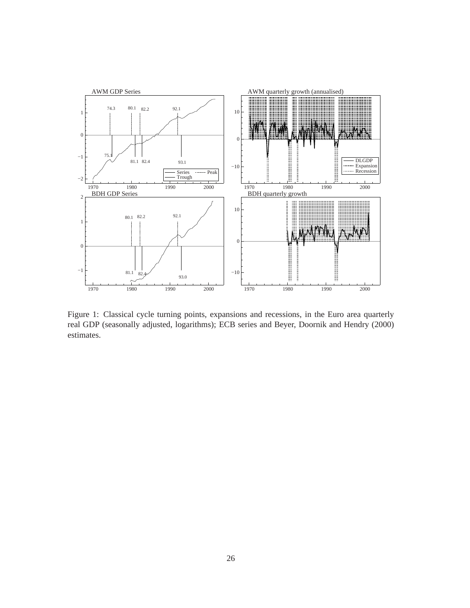

Figure 1: Classical cycle turning points, expansions and recessions, in the Euro area quarterly real GDP (seasonally adjusted, logarithms); ECB series and Beyer, Doornik and Hendry (2000) estimates.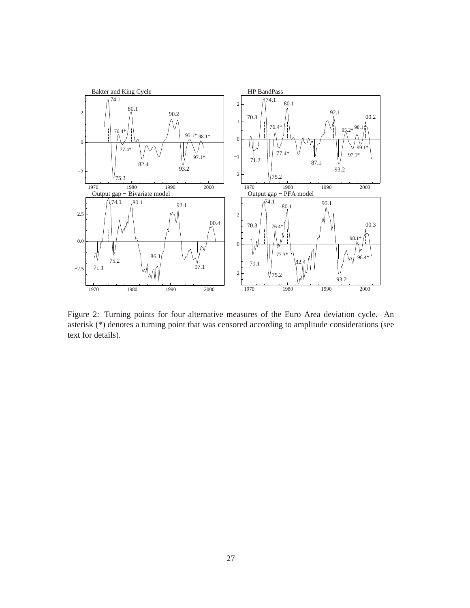

Figure 2: Turning points for four alternative measures of the Euro Area deviation cycle. An asterisk (\*) denotes a turning point that was censored according to amplitude considerations (see text for details).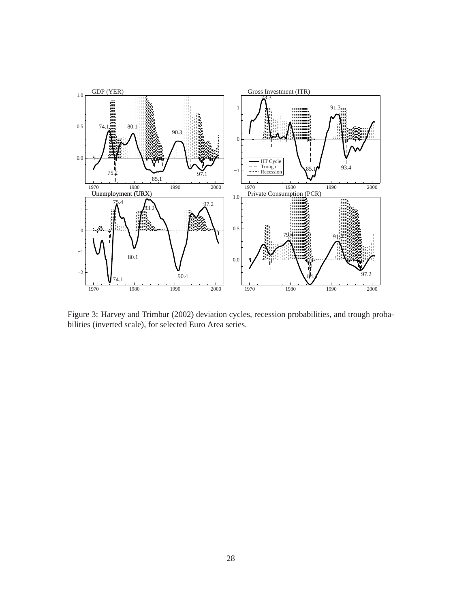

Figure 3: Harvey and Trimbur (2002) deviation cycles, recession probabilities, and trough probabilities (inverted scale), for selected Euro Area series.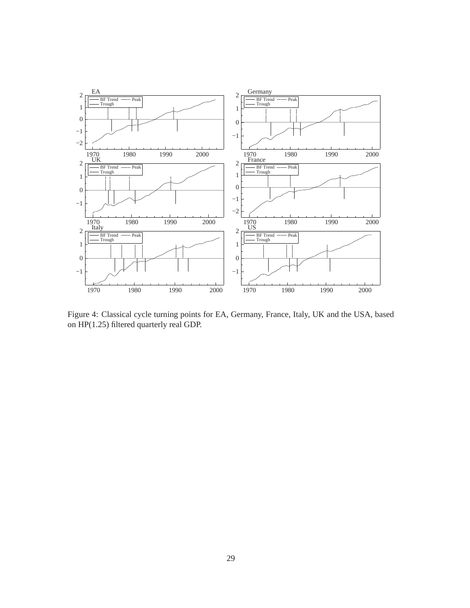

Figure 4: Classical cycle turning points for EA, Germany, France, Italy, UK and the USA, based on HP(1.25) filtered quarterly real GDP.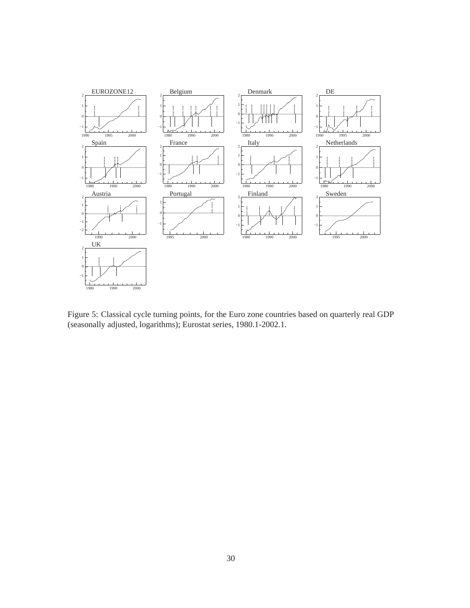

Figure 5: Classical cycle turning points, for the Euro zone countries based on quarterly real GDP (seasonally adjusted, logarithms); Eurostat series, 1980.1-2002.1.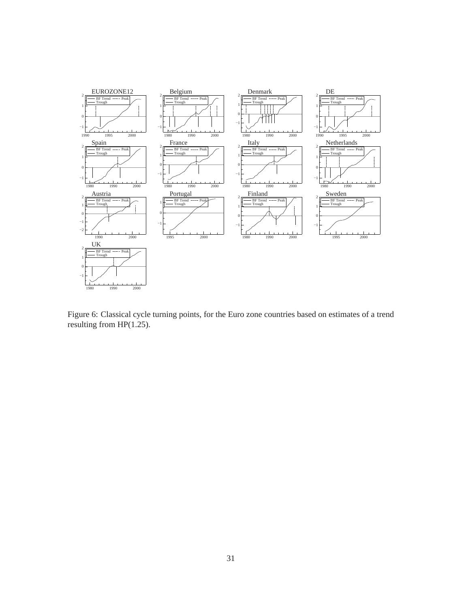

Figure 6: Classical cycle turning points, for the Euro zone countries based on estimates of a trend resulting from HP(1.25).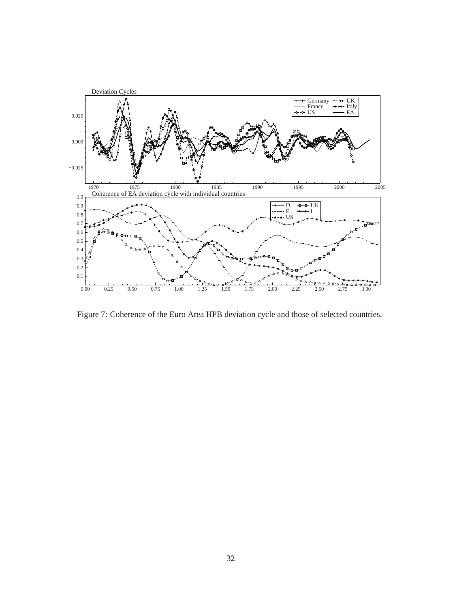

Figure 7: Coherence of the Euro Area HPB deviation cycle and those of selected countries.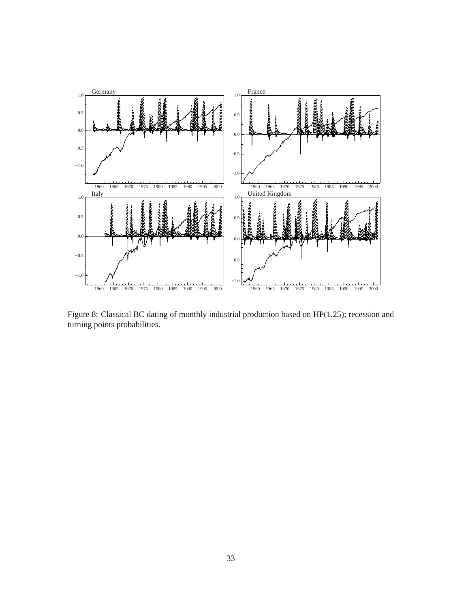

Figure 8: Classical BC dating of monthly industrial production based on HP(1.25); recession and turning points probabilities.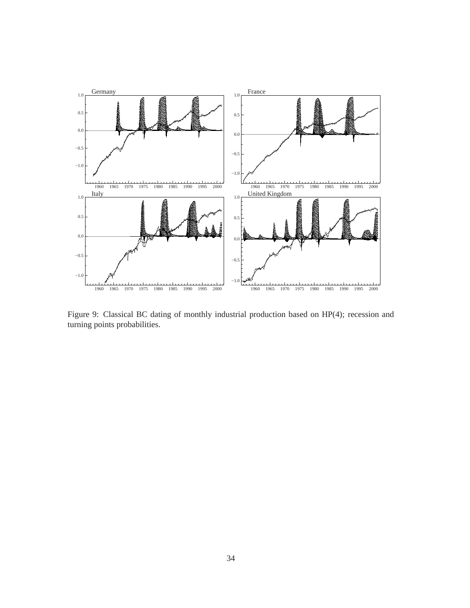

Figure 9: Classical BC dating of monthly industrial production based on HP(4); recession and turning points probabilities.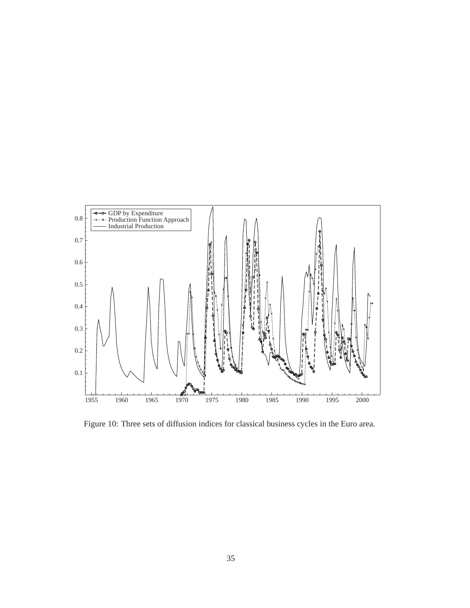

Figure 10: Three sets of diffusion indices for classical business cycles in the Euro area.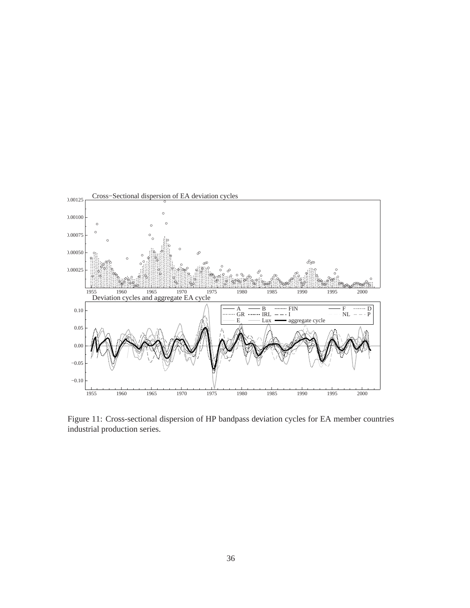

Figure 11: Cross-sectional dispersion of HP bandpass deviation cycles for EA member countries industrial production series.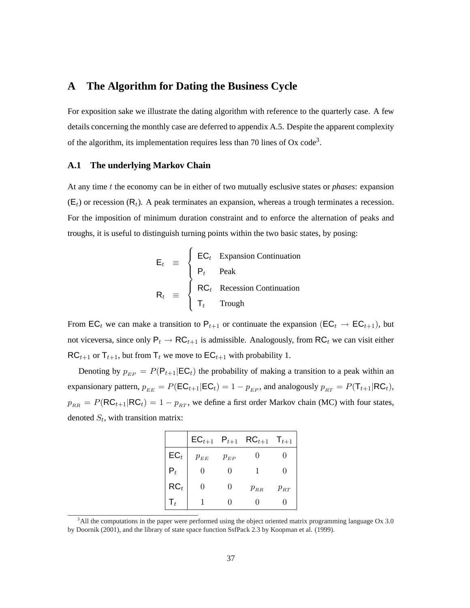# **A The Algorithm for Dating the Business Cycle**

 $\overline{a}$ 

For exposition sake we illustrate the dating algorithm with reference to the quarterly case. A few details concerning the monthly case are deferred to appendix A.5. Despite the apparent complexity of the algorithm, its implementation requires less than 70 lines of  $Ox$  code<sup>3</sup>.

### **A.1 The underlying Markov Chain**

At any time t the economy can be in either of two mutually esclusive states or *phases*: expansion  $(E_t)$  or recession  $(R_t)$ . A peak terminates an expansion, whereas a trough terminates a recession. For the imposition of minimum duration constraint and to enforce the alternation of peaks and troughs, it is useful to distinguish turning points within the two basic states, by posing:

$$
\mathsf{E}_{t} \equiv \begin{cases}\n\mathsf{E}\mathsf{C}_{t} & \text{Expansion Continuation} \\
\mathsf{P}_{t} & \text{Peak} \\
\mathsf{R}\mathsf{C}_{t} & \text{Recession Continuation} \\
\mathsf{T}_{t} & \text{Trough}\n\end{cases}
$$

From EC<sub>t</sub> we can make a transition to  $P_{t+1}$  or continuate the expansion (EC<sub>t</sub>  $\rightarrow$  EC<sub>t+1</sub>), but not viceversa, since only  $P_t \to RC_{t+1}$  is admissible. Analogously, from RC<sub>t</sub> we can visit either  $RC_{t+1}$  or  $T_{t+1}$ , but from  $T_t$  we move to  $EC_{t+1}$  with probability 1.

Denoting by  $p_{EP} = P(\mathsf{P}_{t+1} | \mathsf{EC}_t)$  the probability of making a transition to a peak within an expansionary pattern,  $p_{EE} = P(EC_{t+1} | EC_t) = 1 - p_{EP}$ , and analogously  $p_{RT} = P(T_{t+1} | RC_t)$ ,  $p_{RR} = P(RC_{t+1}|RC_t) = 1 - p_{RT}$ , we define a first order Markov chain (MC) with four states, denoted  $S_t$ , with transition matrix:

|                 |                   |              | $\mathsf{EC}_{t+1}$ $\mathsf{P}_{t+1}$ $\mathsf{RC}_{t+1}$ | $\mathsf{T}_{t+1}$ |
|-----------------|-------------------|--------------|------------------------------------------------------------|--------------------|
| $EC_t$          | $p_{EE}$          | $p_{EP}$     |                                                            |                    |
|                 |                   |              |                                                            |                    |
| $\mathsf{RC}_t$ | $\mathbf{\Omega}$ | $\mathbf{0}$ | $p_{_{RR}}$                                                | $p_{RT}$           |
|                 |                   |              |                                                            |                    |

<sup>&</sup>lt;sup>3</sup>All the computations in the paper were performed using the object oriented matrix programming language Ox 3.0 by Doornik (2001), and the library of state space function SsfPack 2.3 by Koopman et al. (1999).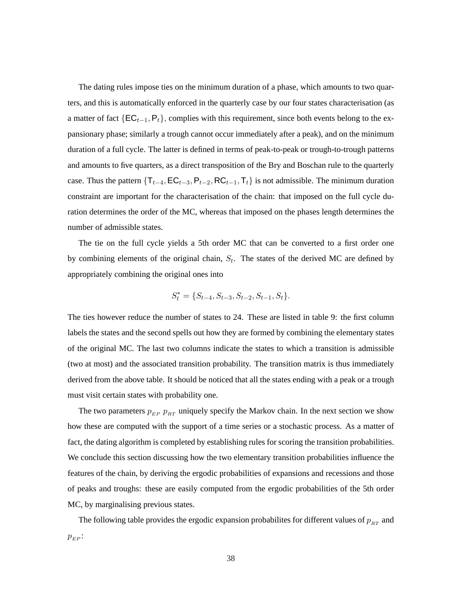The dating rules impose ties on the minimum duration of a phase, which amounts to two quarters, and this is automatically enforced in the quarterly case by our four states characterisation (as a matter of fact  ${EC_{t-1}, P_t}$ , complies with this requirement, since both events belong to the expansionary phase; similarly a trough cannot occur immediately after a peak), and on the minimum duration of a full cycle. The latter is defined in terms of peak-to-peak or trough-to-trough patterns and amounts to five quarters, as a direct transposition of the Bry and Boschan rule to the quarterly case. Thus the pattern  $\{T_{t-4}, \text{EC}_{t-3}, P_{t-2}, \text{RC}_{t-1}, T_t\}$  is not admissible. The minimum duration constraint are important for the characterisation of the chain: that imposed on the full cycle duration determines the order of the MC, whereas that imposed on the phases length determines the number of admissible states.

The tie on the full cycle yields a 5th order MC that can be converted to a first order one by combining elements of the original chain,  $S_t$ . The states of the derived MC are defined by appropriately combining the original ones into

$$
S_t^* = \{S_{t-4}, S_{t-3}, S_{t-2}, S_{t-1}, S_t\}.
$$

The ties however reduce the number of states to 24. These are listed in table 9: the first column labels the states and the second spells out how they are formed by combining the elementary states of the original MC. The last two columns indicate the states to which a transition is admissible (two at most) and the associated transition probability. The transition matrix is thus immediately derived from the above table. It should be noticed that all the states ending with a peak or a trough must visit certain states with probability one.

The two parameters  $p_{EP}$   $p_{BT}$  uniquely specify the Markov chain. In the next section we show how these are computed with the support of a time series or a stochastic process. As a matter of fact, the dating algorithm is completed by establishing rules for scoring the transition probabilities. We conclude this section discussing how the two elementary transition probabilities influence the features of the chain, by deriving the ergodic probabilities of expansions and recessions and those of peaks and troughs: these are easily computed from the ergodic probabilities of the 5th order MC, by marginalising previous states.

The following table provides the ergodic expansion probabilites for different values of  $p_{RT}$  and  $p_{EP}$ :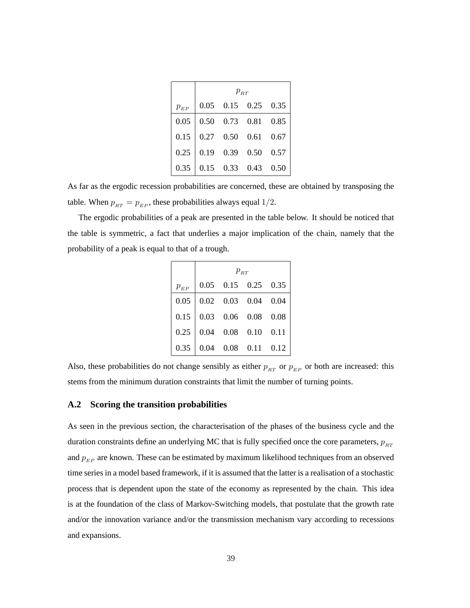|          | $p_{RT}$ |  |                             |  |  |  |
|----------|----------|--|-----------------------------|--|--|--|
| $p_{EP}$ |          |  | $0.05$ 0.15 0.25 0.35       |  |  |  |
| 0.05     |          |  | 0.50  0.73  0.81  0.85      |  |  |  |
| 0.15     |          |  | $0.27$ $0.50$ $0.61$ $0.67$ |  |  |  |
| 0.25     |          |  | 0.19 0.39 0.50 0.57         |  |  |  |
| 0.35     |          |  | 0.15 0.33 0.43 0.50         |  |  |  |

As far as the ergodic recession probabilities are concerned, these are obtained by transposing the table. When  $p_{RT} = p_{EP}$ , these probabilities always equal 1/2.

The ergodic probabilities of a peak are presented in the table below. It should be noticed that the table is symmetric, a fact that underlies a major implication of the chain, namely that the probability of a peak is equal to that of a trough.

|          | $p_{\scriptscriptstyle BT}$ |             |                             |      |  |  |  |
|----------|-----------------------------|-------------|-----------------------------|------|--|--|--|
| $p_{EP}$ |                             |             | $0.05$ $0.15$ $0.25$ $0.35$ |      |  |  |  |
| 0.05     |                             |             | $0.02$ $0.03$ $0.04$ $0.04$ |      |  |  |  |
| 0.15     |                             |             | $0.03$ 0.06 0.08 0.08       |      |  |  |  |
| 0.25     | 0.04                        |             | $0.08$ 0.10 0.11            |      |  |  |  |
| 0.35     | 0.04                        | $0.08$ 0.11 |                             | 0.12 |  |  |  |

Also, these probabilities do not change sensibly as either  $p_{RT}$  or  $p_{EP}$  or both are increased: this stems from the minimum duration constraints that limit the number of turning points.

#### **A.2 Scoring the transition probabilities**

As seen in the previous section, the characterisation of the phases of the business cycle and the duration constraints define an underlying MC that is fully specified once the core parameters,  $p_{RT}$ and  $p_{EP}$  are known. These can be estimated by maximum likelihood techniques from an observed time series in a model based framework, if it is assumed that the latter is a realisation of a stochastic process that is dependent upon the state of the economy as represented by the chain. This idea is at the foundation of the class of Markov-Switching models, that postulate that the growth rate and/or the innovation variance and/or the transmission mechanism vary according to recessions and expansions.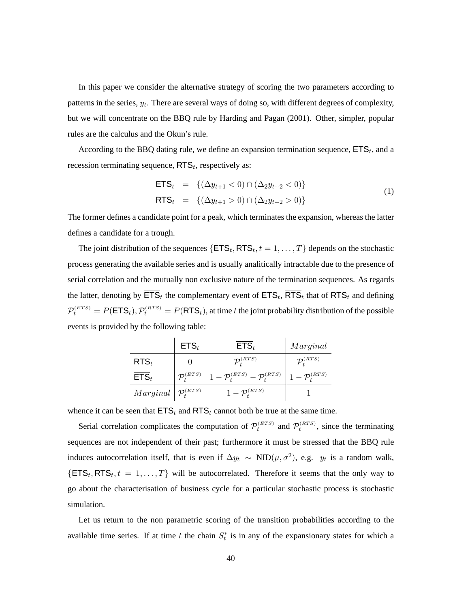In this paper we consider the alternative strategy of scoring the two parameters according to patterns in the series,  $y_t$ . There are several ways of doing so, with different degrees of complexity, but we will concentrate on the BBQ rule by Harding and Pagan (2001). Other, simpler, popular rules are the calculus and the Okun's rule.

According to the BBQ dating rule, we define an expansion termination sequence,  $ETS_t$ , and a recession terminating sequence,  $RTS_t$ , respectively as:

$$
\begin{aligned}\n\mathsf{ETS}_{t} &= \{ (\Delta y_{t+1} < 0) \cap (\Delta_2 y_{t+2} < 0) \} \\
\mathsf{RTS}_{t} &= \{ (\Delta y_{t+1} > 0) \cap (\Delta_2 y_{t+2} > 0) \} \n\end{aligned} \tag{1}
$$

The former defines a candidate point for a peak, which terminates the expansion, whereas the latter defines a candidate for a trough.

The joint distribution of the sequences  $\{\textsf{ETS}_t, \textsf{RTS}_t, t = 1, \ldots, T\}$  depends on the stochastic process generating the available series and is usually analitically intractable due to the presence of serial correlation and the mutually non exclusive nature of the termination sequences. As regards the latter, denoting by  $\textsf{ETS}_t$  the complementary event of  $\textsf{ETS}_t$ ,  $\textsf{RTS}_t$  that of  $\textsf{RTS}_t$  and defining  $\mathcal{P}_t^{(ETS)} = P(\textsf{ETS}_t), \mathcal{P}_t^{(RTS)} = P(\textsf{RTS}_t)$ , at time t the joint probability distribution of the possible events is provided by the following table:

|                                                                                     | $ETS_t$ | $ETS_t$                                                                                                         | Marginal                |
|-------------------------------------------------------------------------------------|---------|-----------------------------------------------------------------------------------------------------------------|-------------------------|
| $RTS_t$                                                                             |         | $\mathcal{P}^{(RTS)}_{t}$                                                                                       | $\mathcal{P}_t^{(RTS)}$ |
| $ETS_t$                                                                             |         | $\mathcal{P}_{t}^{(ETS)}$ $1 - \mathcal{P}_{t}^{(ETS)} - \mathcal{P}_{t}^{(RTS)}$ $1 - \mathcal{P}_{t}^{(RTS)}$ |                         |
| $\left  \mathcal{M} \right  \geq \left  \mathcal{P}^{\left( ETS \right)}_t \right $ |         | $1-\mathcal{P}_t^{(ETS)}$                                                                                       |                         |

whence it can be seen that  $ETS_t$  and  $RTS_t$  cannot both be true at the same time.

Serial correlation complicates the computation of  $\mathcal{P}_t^{(ETS)}$  and  $\mathcal{P}_t^{(RTS)}$ , since the terminating sequences are not independent of their past; furthermore it must be stressed that the BBQ rule induces autocorrelation itself, that is even if  $\Delta y_t \sim \text{NID}(\mu, \sigma^2)$ , e.g.  $y_t$  is a random walk,  $\{\textsf{ETS}_t, \textsf{RTS}_t, t = 1, \ldots, T\}$  will be autocorrelated. Therefore it seems that the only way to go about the characterisation of business cycle for a particular stochastic process is stochastic simulation.

Let us return to the non parametric scoring of the transition probabilities according to the available time series. If at time t the chain  $S_t^*$  is in any of the expansionary states for which a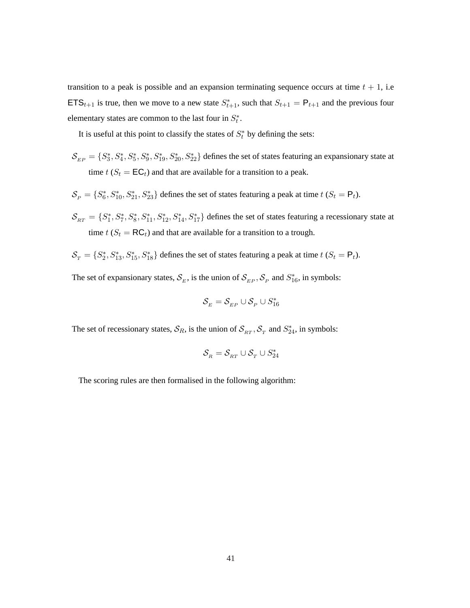transition to a peak is possible and an expansion terminating sequence occurs at time  $t + 1$ , i.e **ETS**<sub>t+1</sub> is true, then we move to a new state  $S_{t+1}^*$ , such that  $S_{t+1} = P_{t+1}$  and the previous four elementary states are common to the last four in  $S_t^*$ .

It is useful at this point to classify the states of  $S_t^*$  by defining the sets:

- $S_{EP} = \{S_3^*, S_4^*, S_5^*, S_9^*, S_{19}^*, S_{20}^*, S_{22}^*\}$  defines the set of states featuring an expansionary state at time  $t$  ( $S_t = \mathsf{EC}_t$ ) and that are available for a transition to a peak.
- $S_P = \{S_6^*, S_{10}^*, S_{21}^*, S_{23}^*\}$  defines the set of states featuring a peak at time  $t$  ( $S_t = \mathsf{P}_t$ ).
- $S_{RT} = \{S_1^*, S_7^*, S_8^*, S_{11}^*, S_{12}^*, S_{14}^*, S_{17}^*\}$  defines the set of states featuring a recessionary state at time  $t$  ( $S_t = RC_t$ ) and that are available for a transition to a trough.
- $S_T = \{S_2^*, S_{13}^*, S_{15}^*, S_{18}^*\}\$ defines the set of states featuring a peak at time  $t$   $(S_t = \mathsf{P}_t)$ .

The set of expansionary states,  $S_E$ , is the union of  $S_{EP}$ ,  $S_P$  and  $S_{16}^*$ , in symbols:

$$
\mathcal{S}_{_E} = \mathcal{S}_{_{EP}} \cup \mathcal{S}_{_P} \cup S_{16}^*
$$

The set of recessionary states,  $S_R$ , is the union of  $S_{RT}$ ,  $S_T$  and  $S_{24}^*$ , in symbols:

$$
\mathcal{S}_R = \mathcal{S}_{RT} \cup \mathcal{S}_T \cup S^*_{24}
$$

The scoring rules are then formalised in the following algorithm: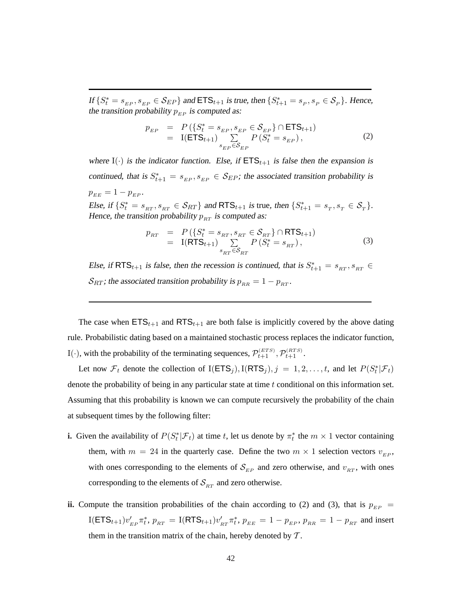If  $\{S_t^* = s_{EP}, s_{EP} \in \mathcal{S}_{EP}\}\$  and  $\text{ETS}_{t+1}$  is true, then  $\{S_{t+1}^* = s_P, s_P \in \mathcal{S}_P\}\$ . Hence, the transition probability  $p_{EP}$  is computed as:

$$
p_{EP} = P(\{S_t^* = s_{EP}, s_{EP} \in S_{EP}\} \cap \text{ETS}_{t+1})
$$
  
= I(ETS<sub>t+1</sub>)  $\sum_{s_{EP} \in S_{EP}} P(S_t^* = s_{EP}),$  (2)

where I( $\cdot$ ) is the indicator function. Else, if  $ETS_{t+1}$  is false then the expansion is continued, that is  $S_{t+1}^* = s_{EP}, s_{EP} \in S_{EP}$ ; the associated transition probability is  $p_{EE} = 1 - p_{EP}$ . Else, if  $\{S_t^* = s_{RT}, s_{RT} \in S_{RT}\}\$  and  $RTS_{t+1}$  is true, then  $\{S_{t+1}^* = s_T, s_T \in S_T\}$ .

Hence, the transition probability  $p_{RT}$  is computed as:

$$
p_{RT} = P(\lbrace S_t^* = s_{RT}, s_{RT} \in S_{RT} \rbrace \cap \text{RTS}_{t+1})
$$
  
= I(RTS<sub>t+1</sub>)  $\sum_{s_{RT} \in S_{RT}} P(S_t^* = s_{RT}),$  (3)

Else, if RTS<sub>t+1</sub> is false, then the recession is continued, that is  $S_{t+1}^* = s_{RT}, s_{RT} \in$  $S_{RT}$ ; the associated transition probability is  $p_{RR} = 1 - p_{RT}$ .

The case when  $ETS_{t+1}$  and  $RTS_{t+1}$  are both false is implicitly covered by the above dating rule. Probabilistic dating based on a maintained stochastic process replaces the indicator function, I( $\cdot$ ), with the probability of the terminating sequences,  $\mathcal{P}_{t+1}^{(ETS)}, \mathcal{P}_{t+1}^{(RTS)}$ .

Let now  $\mathcal{F}_t$  denote the collection of I(ETS<sub>j</sub>), I(RTS<sub>j</sub>),  $j = 1, 2, \ldots, t$ , and let  $P(S_t^* | \mathcal{F}_t)$ denote the probability of being in any particular state at time t conditional on this information set. Assuming that this probability is known we can compute recursively the probability of the chain at subsequent times by the following filter:

- **i.** Given the availability of  $P(S_t^* | \mathcal{F}_t)$  at time t, let us denote by  $\pi_t^*$  the  $m \times 1$  vector containing them, with  $m = 24$  in the quarterly case. Define the two  $m \times 1$  selection vectors  $v_{EP}$ , with ones corresponding to the elements of  $S_{EP}$  and zero otherwise, and  $v_{RT}$ , with ones corresponding to the elements of  $S<sub>RT</sub>$  and zero otherwise.
- **ii.** Compute the transition probabilities of the chain according to (2) and (3), that is  $p_{EP}$  = I(ETS<sub>t+1</sub>) $v'_{EP} \pi_t^*$ ,  $p_{RT} = I(RTS_{t+1})v'_{RT} \pi_t^*$ ,  $p_{EE} = 1 - p_{EP}$ ,  $p_{RR} = 1 - p_{RT}$  and insert them in the transition matrix of the chain, hereby denoted by  $T$ .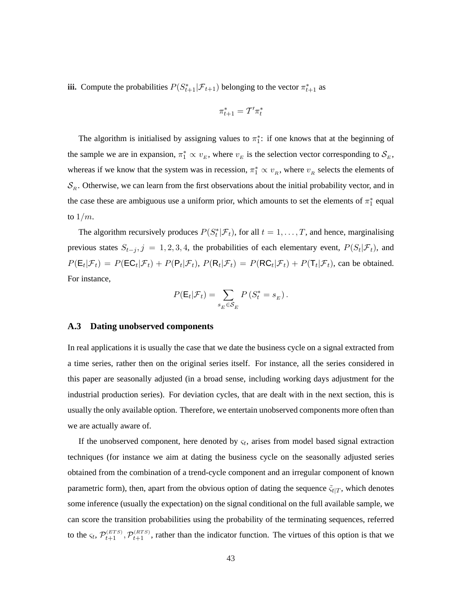**iii.** Compute the probabilities  $P(S_{t+1}^* | \mathcal{F}_{t+1})$  belonging to the vector  $\pi_{t+1}^*$  as

$$
\pi^*_{t+1} = \mathcal{T}'\pi^*_t
$$

The algorithm is initialised by assigning values to  $\pi_1^*$ : if one knows that at the beginning of the sample we are in expansion,  $\pi_1^* \propto v_E$ , where  $v_E$  is the selection vector corresponding to  $\mathcal{S}_E$ , whereas if we know that the system was in recession,  $\pi_1^* \propto v_R$ , where  $v_R$  selects the elements of  $\mathcal{S}_R$ . Otherwise, we can learn from the first observations about the initial probability vector, and in the case these are ambiguous use a uniform prior, which amounts to set the elements of  $\pi_1^*$  equal to  $1/m$ .

The algorithm recursively produces  $P(S_t^* | \mathcal{F}_t)$ , for all  $t = 1, ..., T$ , and hence, marginalising previous states  $S_{t-j}$ ,  $j = 1, 2, 3, 4$ , the probabilities of each elementary event,  $P(S_t | \mathcal{F}_t)$ , and  $P(\mathsf{E}_t|\mathcal{F}_t) = P(\mathsf{EC}_t|\mathcal{F}_t) + P(\mathsf{P}_t|\mathcal{F}_t), P(\mathsf{R}_t|\mathcal{F}_t) = P(\mathsf{RC}_t|\mathcal{F}_t) + P(\mathsf{T}_t|\mathcal{F}_t)$ , can be obtained. For instance,

$$
P(\mathsf{E}_t|\mathcal{F}_t) = \sum_{s_E \in \mathcal{S}_E} P\left(S_t^* = s_E\right).
$$

#### **A.3 Dating unobserved components**

In real applications it is usually the case that we date the business cycle on a signal extracted from a time series, rather then on the original series itself. For instance, all the series considered in this paper are seasonally adjusted (in a broad sense, including working days adjustment for the industrial production series). For deviation cycles, that are dealt with in the next section, this is usually the only available option. Therefore, we entertain unobserved components more often than we are actually aware of.

If the unobserved component, here denoted by  $\varsigma_t$ , arises from model based signal extraction techniques (for instance we aim at dating the business cycle on the seasonally adjusted series obtained from the combination of a trend-cycle component and an irregular component of known parametric form), then, apart from the obvious option of dating the sequence  $\tilde{\varsigma}_{t|T}$ , which denotes some inference (usually the expectation) on the signal conditional on the full available sample, we can score the transition probabilities using the probability of the terminating sequences, referred to the  $\zeta_t$ ,  $\mathcal{P}_{t+1}^{(ETS)}$ ,  $\mathcal{P}_{t+1}^{(RTS)}$ , rather than the indicator function. The virtues of this option is that we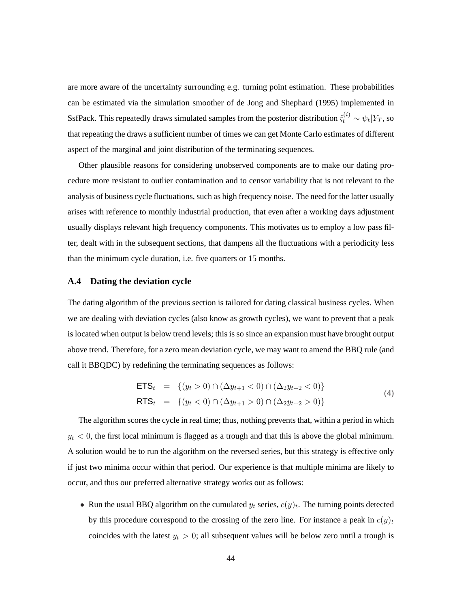are more aware of the uncertainty surrounding e.g. turning point estimation. These probabilities can be estimated via the simulation smoother of de Jong and Shephard (1995) implemented in SsfPack. This repeatedly draws simulated samples from the posterior distribution  $\tilde{\varsigma}_t^{(i)}\sim \psi_t|Y_T,$  so that repeating the draws a sufficient number of times we can get Monte Carlo estimates of different aspect of the marginal and joint distribution of the terminating sequences.

Other plausible reasons for considering unobserved components are to make our dating procedure more resistant to outlier contamination and to censor variability that is not relevant to the analysis of business cycle fluctuations, such as high frequency noise. The need for the latter usually arises with reference to monthly industrial production, that even after a working days adjustment usually displays relevant high frequency components. This motivates us to employ a low pass filter, dealt with in the subsequent sections, that dampens all the fluctuations with a periodicity less than the minimum cycle duration, i.e. five quarters or 15 months.

### **A.4 Dating the deviation cycle**

The dating algorithm of the previous section is tailored for dating classical business cycles. When we are dealing with deviation cycles (also know as growth cycles), we want to prevent that a peak is located when output is below trend levels; this is so since an expansion must have brought output above trend. Therefore, for a zero mean deviation cycle, we may want to amend the BBQ rule (and call it BBQDC) by redefining the terminating sequences as follows:

$$
\begin{aligned}\n\mathsf{ETS}_{t} &= \{ (y_t > 0) \cap (\Delta y_{t+1} < 0) \cap (\Delta_2 y_{t+2} < 0) \} \\
\mathsf{RTS}_{t} &= \{ (y_t < 0) \cap (\Delta y_{t+1} > 0) \cap (\Delta_2 y_{t+2} > 0) \}\n\end{aligned} \tag{4}
$$

The algorithm scores the cycle in real time; thus, nothing prevents that, within a period in which  $y_t$  < 0, the first local minimum is flagged as a trough and that this is above the global minimum. A solution would be to run the algorithm on the reversed series, but this strategy is effective only if just two minima occur within that period. Our experience is that multiple minima are likely to occur, and thus our preferred alternative strategy works out as follows:

• Run the usual BBQ algorithm on the cumulated  $y_t$  series,  $c(y)_t$ . The turning points detected by this procedure correspond to the crossing of the zero line. For instance a peak in  $c(y)_t$ coincides with the latest  $y_t > 0$ ; all subsequent values will be below zero until a trough is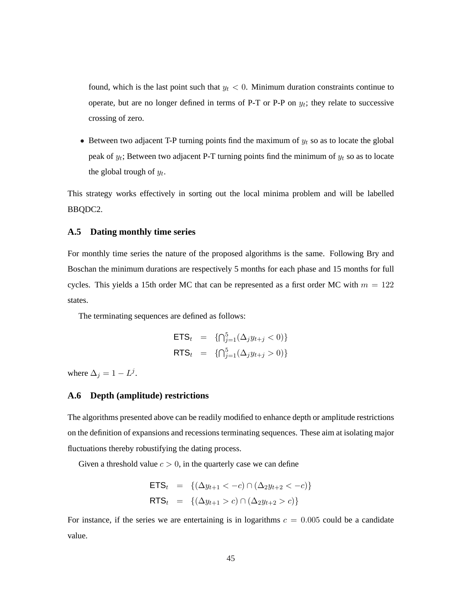found, which is the last point such that  $y_t < 0$ . Minimum duration constraints continue to operate, but are no longer defined in terms of P-T or P-P on  $y_t$ ; they relate to successive crossing of zero.

• Between two adjacent T-P turning points find the maximum of  $y_t$  so as to locate the global peak of  $y_t$ ; Between two adjacent P-T turning points find the minimum of  $y_t$  so as to locate the global trough of  $y_t$ .

This strategy works effectively in sorting out the local minima problem and will be labelled BBQDC2.

### **A.5 Dating monthly time series**

For monthly time series the nature of the proposed algorithms is the same. Following Bry and Boschan the minimum durations are respectively 5 months for each phase and 15 months for full cycles. This yields a 15th order MC that can be represented as a first order MC with  $m = 122$ states.

The terminating sequences are defined as follows:

$$
ETS_t = \{ \bigcap_{j=1}^5 (\Delta_j y_{t+j} < 0) \}
$$
\n
$$
RTS_t = \{ \bigcap_{j=1}^5 (\Delta_j y_{t+j} > 0) \}
$$

where  $\Delta_j = 1 - L^j$ .

### **A.6 Depth (amplitude) restrictions**

The algorithms presented above can be readily modified to enhance depth or amplitude restrictions on the definition of expansions and recessions terminating sequences. These aim at isolating major fluctuations thereby robustifying the dating process.

Given a threshold value  $c > 0$ , in the quarterly case we can define

$$
ETSt = {( $\Delta y_{t+1} < -c$ ) \cap ( $\Delta_2 y_{t+2} < -c$ ) }
$$
  
RTS<sub>t</sub> = {( $\Delta y_{t+1} > c$ ) \cap ( $\Delta_2 y_{t+2} > c$ )}

For instance, if the series we are entertaining is in logarithms  $c = 0.005$  could be a candidate value.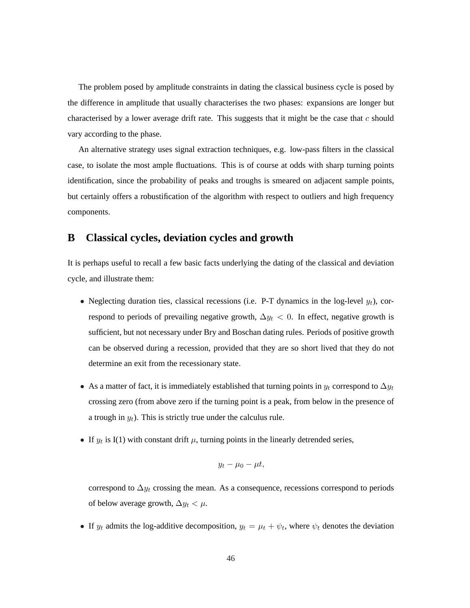The problem posed by amplitude constraints in dating the classical business cycle is posed by the difference in amplitude that usually characterises the two phases: expansions are longer but characterised by a lower average drift rate. This suggests that it might be the case that  $c$  should vary according to the phase.

An alternative strategy uses signal extraction techniques, e.g. low-pass filters in the classical case, to isolate the most ample fluctuations. This is of course at odds with sharp turning points identification, since the probability of peaks and troughs is smeared on adjacent sample points, but certainly offers a robustification of the algorithm with respect to outliers and high frequency components.

### **B Classical cycles, deviation cycles and growth**

It is perhaps useful to recall a few basic facts underlying the dating of the classical and deviation cycle, and illustrate them:

- Neglecting duration ties, classical recessions (i.e. P-T dynamics in the log-level  $y_t$ ), correspond to periods of prevailing negative growth,  $\Delta y_t < 0$ . In effect, negative growth is sufficient, but not necessary under Bry and Boschan dating rules. Periods of positive growth can be observed during a recession, provided that they are so short lived that they do not determine an exit from the recessionary state.
- As a matter of fact, it is immediately established that turning points in  $y_t$  correspond to  $\Delta y_t$ crossing zero (from above zero if the turning point is a peak, from below in the presence of a trough in  $y_t$ ). This is strictly true under the calculus rule.
- If  $y_t$  is I(1) with constant drift  $\mu$ , turning points in the linearly detrended series,

$$
y_t - \mu_0 - \mu t,
$$

correspond to  $\Delta y_t$  crossing the mean. As a consequence, recessions correspond to periods of below average growth,  $\Delta y_t < \mu$ .

• If  $y_t$  admits the log-additive decomposition,  $y_t = \mu_t + \psi_t$ , where  $\psi_t$  denotes the deviation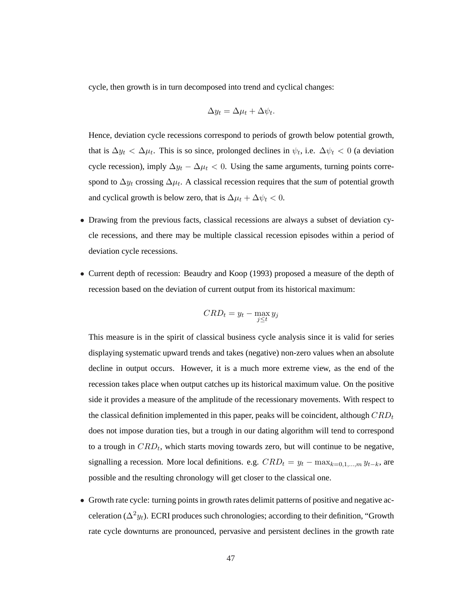cycle, then growth is in turn decomposed into trend and cyclical changes:

$$
\Delta y_t = \Delta \mu_t + \Delta \psi_t.
$$

Hence, deviation cycle recessions correspond to periods of growth below potential growth, that is  $\Delta y_t < \Delta \mu_t$ . This is so since, prolonged declines in  $\psi_t$ , i.e.  $\Delta \psi_t < 0$  (a deviation cycle recession), imply  $\Delta y_t - \Delta \mu_t < 0$ . Using the same arguments, turning points correspond to  $\Delta y_t$  crossing  $\Delta \mu_t$ . A classical recession requires that the *sum* of potential growth and cyclical growth is below zero, that is  $\Delta \mu_t + \Delta \psi_t < 0$ .

- Drawing from the previous facts, classical recessions are always a subset of deviation cycle recessions, and there may be multiple classical recession episodes within a period of deviation cycle recessions.
- Current depth of recession: Beaudry and Koop (1993) proposed a measure of the depth of recession based on the deviation of current output from its historical maximum:

$$
CRD_t = y_t - \max_{j \le t} y_j
$$

This measure is in the spirit of classical business cycle analysis since it is valid for series displaying systematic upward trends and takes (negative) non-zero values when an absolute decline in output occurs. However, it is a much more extreme view, as the end of the recession takes place when output catches up its historical maximum value. On the positive side it provides a measure of the amplitude of the recessionary movements. With respect to the classical definition implemented in this paper, peaks will be coincident, although  $CRD_t$ does not impose duration ties, but a trough in our dating algorithm will tend to correspond to a trough in  $CRD_t$ , which starts moving towards zero, but will continue to be negative, signalling a recession. More local definitions. e.g.  $CRD_t = y_t - \max_{k=0,1,\dots,m} y_{t-k}$ , are possible and the resulting chronology will get closer to the classical one.

• Growth rate cycle: turning points in growth rates delimit patterns of positive and negative acceleration ( $\Delta^2 y_t$ ). ECRI produces such chronologies; according to their definition, "Growth rate cycle downturns are pronounced, pervasive and persistent declines in the growth rate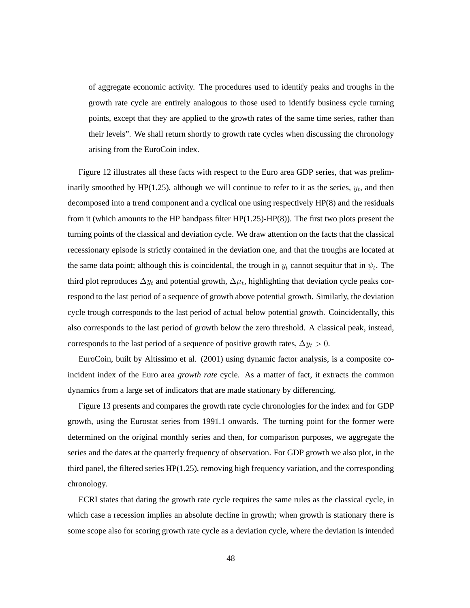of aggregate economic activity. The procedures used to identify peaks and troughs in the growth rate cycle are entirely analogous to those used to identify business cycle turning points, except that they are applied to the growth rates of the same time series, rather than their levels". We shall return shortly to growth rate cycles when discussing the chronology arising from the EuroCoin index.

Figure 12 illustrates all these facts with respect to the Euro area GDP series, that was preliminarily smoothed by HP(1.25), although we will continue to refer to it as the series,  $y_t$ , and then decomposed into a trend component and a cyclical one using respectively HP(8) and the residuals from it (which amounts to the HP bandpass filter  $HP(1.25)-HP(8)$ ). The first two plots present the turning points of the classical and deviation cycle. We draw attention on the facts that the classical recessionary episode is strictly contained in the deviation one, and that the troughs are located at the same data point; although this is coincidental, the trough in  $y_t$  cannot sequitur that in  $\psi_t$ . The third plot reproduces  $\Delta y_t$  and potential growth,  $\Delta \mu_t$ , highlighting that deviation cycle peaks correspond to the last period of a sequence of growth above potential growth. Similarly, the deviation cycle trough corresponds to the last period of actual below potential growth. Coincidentally, this also corresponds to the last period of growth below the zero threshold. A classical peak, instead, corresponds to the last period of a sequence of positive growth rates,  $\Delta y_t > 0$ .

EuroCoin, built by Altissimo et al. (2001) using dynamic factor analysis, is a composite coincident index of the Euro area *growth rate* cycle. As a matter of fact, it extracts the common dynamics from a large set of indicators that are made stationary by differencing.

Figure 13 presents and compares the growth rate cycle chronologies for the index and for GDP growth, using the Eurostat series from 1991.1 onwards. The turning point for the former were determined on the original monthly series and then, for comparison purposes, we aggregate the series and the dates at the quarterly frequency of observation. For GDP growth we also plot, in the third panel, the filtered series  $HP(1.25)$ , removing high frequency variation, and the corresponding chronology.

ECRI states that dating the growth rate cycle requires the same rules as the classical cycle, in which case a recession implies an absolute decline in growth; when growth is stationary there is some scope also for scoring growth rate cycle as a deviation cycle, where the deviation is intended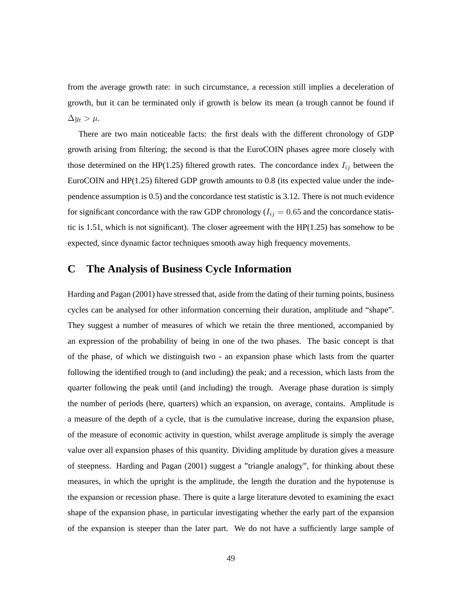from the average growth rate: in such circumstance, a recession still implies a deceleration of growth, but it can be terminated only if growth is below its mean (a trough cannot be found if  $\Delta y_t > \mu$ .

There are two main noticeable facts: the first deals with the different chronology of GDP growth arising from filtering; the second is that the EuroCOIN phases agree more closely with those determined on the HP(1.25) filtered growth rates. The concordance index  $I_{ij}$  between the EuroCOIN and HP(1.25) filtered GDP growth amounts to 0.8 (its expected value under the independence assumption is 0.5) and the concordance test statistic is 3.12. There is not much evidence for significant concordance with the raw GDP chronology ( $I_{ij} = 0.65$  and the concordance statistic is 1.51, which is not significant). The closer agreement with the  $HP(1.25)$  has somehow to be expected, since dynamic factor techniques smooth away high frequency movements.

# **C The Analysis of Business Cycle Information**

Harding and Pagan (2001) have stressed that, aside from the dating of their turning points, business cycles can be analysed for other information concerning their duration, amplitude and "shape". They suggest a number of measures of which we retain the three mentioned, accompanied by an expression of the probability of being in one of the two phases. The basic concept is that of the phase, of which we distinguish two - an expansion phase which lasts from the quarter following the identified trough to (and including) the peak; and a recession, which lasts from the quarter following the peak until (and including) the trough. Average phase duration is simply the number of periods (here, quarters) which an expansion, on average, contains. Amplitude is a measure of the depth of a cycle, that is the cumulative increase, during the expansion phase, of the measure of economic activity in question, whilst average amplitude is simply the average value over all expansion phases of this quantity. Dividing amplitude by duration gives a measure of steepness. Harding and Pagan (2001) suggest a "triangle analogy", for thinking about these measures, in which the upright is the amplitude, the length the duration and the hypotenuse is the expansion or recession phase. There is quite a large literature devoted to examining the exact shape of the expansion phase, in particular investigating whether the early part of the expansion of the expansion is steeper than the later part. We do not have a sufficiently large sample of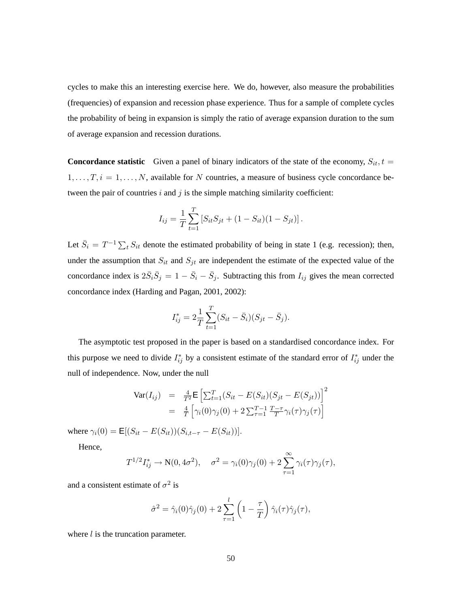cycles to make this an interesting exercise here. We do, however, also measure the probabilities (frequencies) of expansion and recession phase experience. Thus for a sample of complete cycles the probability of being in expansion is simply the ratio of average expansion duration to the sum of average expansion and recession durations.

**Concordance statistic** Given a panel of binary indicators of the state of the economy,  $S_{it}$ ,  $t =$  $1, \ldots, T, i = 1, \ldots, N$ , available for N countries, a measure of business cycle concordance between the pair of countries  $i$  and  $j$  is the simple matching similarity coefficient:

$$
I_{ij} = \frac{1}{T} \sum_{t=1}^{T} \left[ S_{it} S_{jt} + (1 - S_{it})(1 - S_{jt}) \right].
$$

Let  $\bar{S}_i = T^{-1} \sum_t S_{it}$  denote the estimated probability of being in state 1 (e.g. recession); then, under the assumption that  $S_{it}$  and  $S_{jt}$  are independent the estimate of the expected value of the concordance index is  $2\bar{S}_i\bar{S}_j = 1 - \bar{S}_i - \bar{S}_j$ . Subtracting this from  $I_{ij}$  gives the mean corrected concordance index (Harding and Pagan, 2001, 2002):

$$
I_{ij}^* = 2\frac{1}{T} \sum_{t=1}^T (S_{it} - \bar{S}_i)(S_{jt} - \bar{S}_j).
$$

The asymptotic test proposed in the paper is based on a standardised concordance index. For this purpose we need to divide  $I_{ij}^*$  by a consistent estimate of the standard error of  $I_{ij}^*$  under the null of independence. Now, under the null

$$
\begin{array}{rcl}\n\text{Var}(I_{ij}) & = & \frac{4}{T^2} \mathsf{E} \left[ \sum_{t=1}^T (S_{it} - E(S_{it}) (S_{jt} - E(S_{jt})) \right]^2 \\
& = & \frac{4}{T} \left[ \gamma_i(0) \gamma_j(0) + 2 \sum_{\tau=1}^{T-1} \frac{T-\tau}{T} \gamma_i(\tau) \gamma_j(\tau) \right]\n\end{array}
$$

where  $\gamma_i(0) = \mathsf{E}[(S_{it} - E(S_{it}))(S_{i,t-\tau} - E(S_{it}))].$ 

Hence,

$$
T^{1/2}I_{ij}^* \to \mathbf{N}(0, 4\sigma^2), \quad \sigma^2 = \gamma_i(0)\gamma_j(0) + 2\sum_{\tau=1}^{\infty} \gamma_i(\tau)\gamma_j(\tau),
$$

and a consistent estimate of  $\sigma^2$  is

$$
\hat{\sigma}^2 = \hat{\gamma}_i(0)\hat{\gamma}_j(0) + 2\sum_{\tau=1}^l \left(1 - \frac{\tau}{T}\right)\hat{\gamma}_i(\tau)\hat{\gamma}_j(\tau),
$$

where  $l$  is the truncation parameter.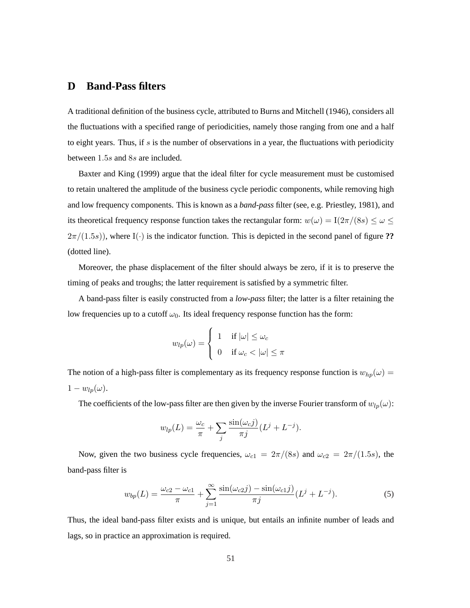# **D Band-Pass filters**

A traditional definition of the business cycle, attributed to Burns and Mitchell (1946), considers all the fluctuations with a specified range of periodicities, namely those ranging from one and a half to eight years. Thus, if s is the number of observations in a year, the fluctuations with periodicity between 1.5s and 8s are included.

Baxter and King (1999) argue that the ideal filter for cycle measurement must be customised to retain unaltered the amplitude of the business cycle periodic components, while removing high and low frequency components. This is known as a *band-pass* filter (see, e.g. Priestley, 1981), and its theoretical frequency response function takes the rectangular form:  $w(\omega) = I(2\pi/(8s) \le \omega \le$  $2\pi/(1.5s)$ ), where I(·) is the indicator function. This is depicted in the second panel of figure ?? (dotted line).

Moreover, the phase displacement of the filter should always be zero, if it is to preserve the timing of peaks and troughs; the latter requirement is satisfied by a symmetric filter.

A band-pass filter is easily constructed from a *low-pass* filter; the latter is a filter retaining the low frequencies up to a cutoff  $\omega_0$ . Its ideal frequency response function has the form:

$$
w_{lp}(\omega) = \begin{cases} 1 & \text{if } |\omega| \leq \omega_c \\ 0 & \text{if } \omega_c < |\omega| \leq \pi \end{cases}
$$

The notion of a high-pass filter is complementary as its frequency response function is  $w_{hp}(\omega)$  =  $1 - w_{lp}(\omega)$ .

The coefficients of the low-pass filter are then given by the inverse Fourier transform of  $w_{lp}(\omega)$ :

$$
w_{lp}(L) = \frac{\omega_c}{\pi} + \sum_j \frac{\sin(\omega_c j)}{\pi j} (L^j + L^{-j}).
$$

Now, given the two business cycle frequencies,  $\omega_{c1} = 2\pi/(8s)$  and  $\omega_{c2} = 2\pi/(1.5s)$ , the band-pass filter is

$$
w_{bp}(L) = \frac{\omega_{c2} - \omega_{c1}}{\pi} + \sum_{j=1}^{\infty} \frac{\sin(\omega_{c2}j) - \sin(\omega_{c1}j)}{\pi j} (L^j + L^{-j}).
$$
\n(5)

Thus, the ideal band-pass filter exists and is unique, but entails an infinite number of leads and lags, so in practice an approximation is required.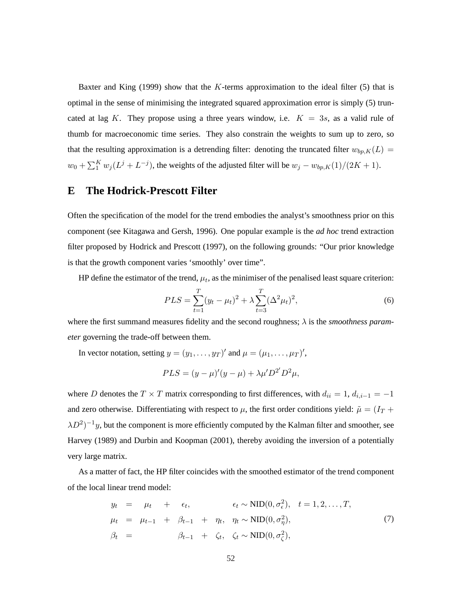Baxter and King (1999) show that the K-terms approximation to the ideal filter (5) that is optimal in the sense of minimising the integrated squared approximation error is simply (5) truncated at lag K. They propose using a three years window, i.e.  $K = 3s$ , as a valid rule of thumb for macroeconomic time series. They also constrain the weights to sum up to zero, so that the resulting approximation is a detrending filter: denoting the truncated filter  $w_{bp,K}(L)$  =  $w_0 + \sum_{i=1}^{K} w_i (L^j + L^{-j})$ , the weights of the adjusted filter will be  $w_j - w_{bp,K}(1)/(2K + 1)$ .

# **E The Hodrick-Prescott Filter**

Often the specification of the model for the trend embodies the analyst's smoothness prior on this component (see Kitagawa and Gersh, 1996). One popular example is the *ad hoc* trend extraction filter proposed by Hodrick and Prescott (1997), on the following grounds: "Our prior knowledge is that the growth component varies 'smoothly' over time".

HP define the estimator of the trend,  $\mu_t$ , as the minimiser of the penalised least square criterion:

$$
PLS = \sum_{t=1}^{T} (y_t - \mu_t)^2 + \lambda \sum_{t=3}^{T} (\Delta^2 \mu_t)^2,
$$
\n(6)

where the first summand measures fidelity and the second roughness; λ is the *smoothness parameter* governing the trade-off between them.

In vector notation, setting  $y = (y_1, \dots, y_T)$  and  $\mu = (\mu_1, \dots, \mu_T)$ ',

$$
PLS = (y - \mu)'(y - \mu) + \lambda \mu' D^{2'} D^{2} \mu,
$$

where D denotes the T × T matrix corresponding to first differences, with  $d_{ii} = 1$ ,  $d_{i,i-1} = -1$ and zero otherwise. Differentiating with respect to  $\mu$ , the first order conditions yield:  $\tilde{\mu} = (I_T + I_T)$  $\lambda D^2$ )<sup>-1</sup>y, but the component is more efficiently computed by the Kalman filter and smoother, see Harvey (1989) and Durbin and Koopman (2001), thereby avoiding the inversion of a potentially very large matrix.

As a matter of fact, the HP filter coincides with the smoothed estimator of the trend component of the local linear trend model:

$$
y_t = \mu_t + \epsilon_t, \qquad \epsilon_t \sim \text{NID}(0, \sigma_\epsilon^2), \quad t = 1, 2, \dots, T,
$$
  
\n
$$
\mu_t = \mu_{t-1} + \beta_{t-1} + \eta_t, \quad \eta_t \sim \text{NID}(0, \sigma_\eta^2),
$$
  
\n
$$
\beta_t = \beta_{t-1} + \zeta_t, \quad \zeta_t \sim \text{NID}(0, \sigma_\zeta^2),
$$
\n(7)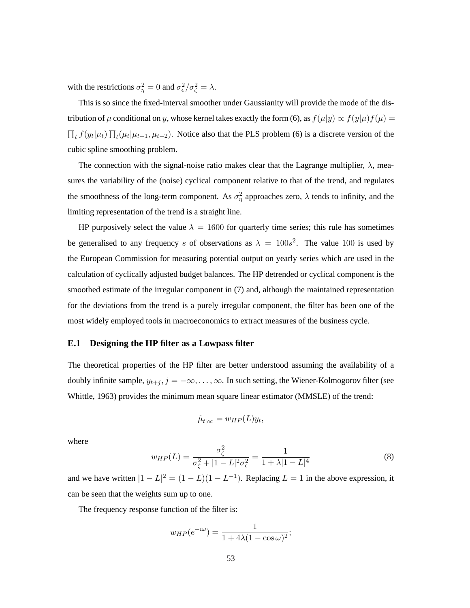with the restrictions  $\sigma_{\eta}^2 = 0$  and  $\sigma_{\epsilon}^2 / \sigma_{\zeta}^2 = \lambda$ .

This is so since the fixed-interval smoother under Gaussianity will provide the mode of the distribution of  $\mu$  conditional on y, whose kernel takes exactly the form (6), as  $f(\mu|y) \propto f(y|\mu) f(\mu)$  =  $\overline{a}$  $t f(y_t|\mu_t) \prod$  $t_t(\mu_t|\mu_{t-1}, \mu_{t-2})$ . Notice also that the PLS problem (6) is a discrete version of the cubic spline smoothing problem.

The connection with the signal-noise ratio makes clear that the Lagrange multiplier,  $\lambda$ , measures the variability of the (noise) cyclical component relative to that of the trend, and regulates the smoothness of the long-term component. As  $\sigma_{\eta}^2$  approaches zero,  $\lambda$  tends to infinity, and the limiting representation of the trend is a straight line.

HP purposively select the value  $\lambda = 1600$  for quarterly time series; this rule has sometimes be generalised to any frequency s of observations as  $\lambda = 100s^2$ . The value 100 is used by the European Commission for measuring potential output on yearly series which are used in the calculation of cyclically adjusted budget balances. The HP detrended or cyclical component is the smoothed estimate of the irregular component in (7) and, although the maintained representation for the deviations from the trend is a purely irregular component, the filter has been one of the most widely employed tools in macroeconomics to extract measures of the business cycle.

### **E.1 Designing the HP filter as a Lowpass filter**

The theoretical properties of the HP filter are better understood assuming the availability of a doubly infinite sample,  $y_{t+j}$ ,  $j = -\infty, \ldots, \infty$ . In such setting, the Wiener-Kolmogorov filter (see Whittle, 1963) provides the minimum mean square linear estimator (MMSLE) of the trend:

$$
\tilde{\mu}_{t|\infty} = w_{HP}(L)y_t,
$$

where

$$
w_{HP}(L) = \frac{\sigma_{\zeta}^2}{\sigma_{\zeta}^2 + |1 - L|^2 \sigma_{\epsilon}^2} = \frac{1}{1 + \lambda |1 - L|^4}
$$
(8)

and we have written  $|1 - L|^2 = (1 - L)(1 - L^{-1})$ . Replacing  $L = 1$  in the above expression, it can be seen that the weights sum up to one.

The frequency response function of the filter is:

$$
w_{HP}(e^{-i\omega}) = \frac{1}{1 + 4\lambda(1 - \cos \omega)^2};
$$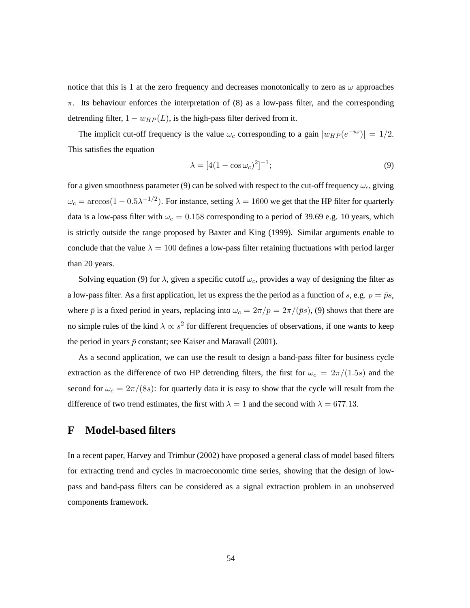notice that this is 1 at the zero frequency and decreases monotonically to zero as  $\omega$  approaches  $\pi$ . Its behaviour enforces the interpretation of (8) as a low-pass filter, and the corresponding detrending filter,  $1 - w_{HP}(L)$ , is the high-pass filter derived from it.

The implicit cut-off frequency is the value  $\omega_c$  corresponding to a gain  $|w_{HP}(e^{-i\omega})| = 1/2$ . This satisfies the equation

$$
\lambda = [4(1 - \cos \omega_c)^2]^{-1};
$$
\n(9)

for a given smoothness parameter (9) can be solved with respect to the cut-off frequency  $\omega_c$ , giving  $\omega_c = \arccos(1 - 0.5\lambda^{-1/2})$ . For instance, setting  $\lambda = 1600$  we get that the HP filter for quarterly data is a low-pass filter with  $\omega_c = 0.158$  corresponding to a period of 39.69 e.g. 10 years, which is strictly outside the range proposed by Baxter and King (1999). Similar arguments enable to conclude that the value  $\lambda = 100$  defines a low-pass filter retaining fluctuations with period larger than 20 years.

Solving equation (9) for  $\lambda$ , given a specific cutoff  $\omega_c$ , provides a way of designing the filter as a low-pass filter. As a first application, let us express the the period as a function of s, e.g.  $p = \bar{p}s$ , where  $\bar{p}$  is a fixed period in years, replacing into  $\omega_c = 2\pi/p = 2\pi/(\bar{p}s)$ , (9) shows that there are no simple rules of the kind  $\lambda \propto s^2$  for different frequencies of observations, if one wants to keep the period in years  $\bar{p}$  constant; see Kaiser and Maravall (2001).

As a second application, we can use the result to design a band-pass filter for business cycle extraction as the difference of two HP detrending filters, the first for  $\omega_c = 2\pi/(1.5s)$  and the second for  $\omega_c = 2\pi/(8s)$ : for quarterly data it is easy to show that the cycle will result from the difference of two trend estimates, the first with  $\lambda = 1$  and the second with  $\lambda = 677.13$ .

## **F Model-based filters**

In a recent paper, Harvey and Trimbur (2002) have proposed a general class of model based filters for extracting trend and cycles in macroeconomic time series, showing that the design of lowpass and band-pass filters can be considered as a signal extraction problem in an unobserved components framework.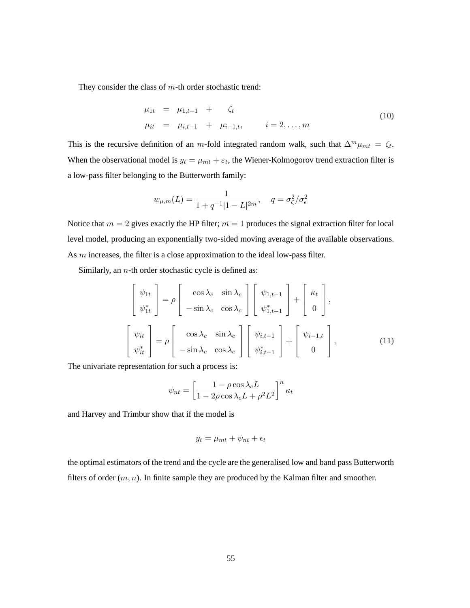They consider the class of  $m$ -th order stochastic trend:

$$
\begin{array}{rcl}\n\mu_{1t} & = & \mu_{1,t-1} + \zeta_t \\
\mu_{it} & = & \mu_{i,t-1} + \mu_{i-1,t}, \qquad i = 2, \dots, m\n\end{array} \tag{10}
$$

This is the recursive definition of an m-fold integrated random walk, such that  $\Delta^m \mu_{mt} = \zeta_t$ . When the observational model is  $y_t = \mu_{mt} + \varepsilon_t$ , the Wiener-Kolmogorov trend extraction filter is a low-pass filter belonging to the Butterworth family:

$$
w_{\mu,m}(L)=\frac{1}{1+q^{-1}|1-L|^{2m}},\quad \, q=\sigma_{\zeta}^2/\sigma_{\epsilon}^2
$$

Notice that  $m = 2$  gives exactly the HP filter;  $m = 1$  produces the signal extraction filter for local level model, producing an exponentially two-sided moving average of the available observations. As m increases, the filter is a close approximation to the ideal low-pass filter.

Similarly, an  $n$ -th order stochastic cycle is defined as:

$$
\begin{bmatrix}\n\psi_{1t} \\
\psi_{1t}^*\n\end{bmatrix} = \rho \begin{bmatrix}\n\cos \lambda_c & \sin \lambda_c \\
-\sin \lambda_c & \cos \lambda_c\n\end{bmatrix} \begin{bmatrix}\n\psi_{1,t-1} \\
\psi_{1,t-1}^*\n\end{bmatrix} + \begin{bmatrix}\n\kappa_t \\
0\n\end{bmatrix},
$$
\n
$$
\begin{bmatrix}\n\psi_{it} \\
\psi_{it}^*\n\end{bmatrix} = \rho \begin{bmatrix}\n\cos \lambda_c & \sin \lambda_c \\
-\sin \lambda_c & \cos \lambda_c\n\end{bmatrix} \begin{bmatrix}\n\psi_{i,t-1} \\
\psi_{i,t-1}^*\n\end{bmatrix} + \begin{bmatrix}\n\psi_{i-1,t} \\
0\n\end{bmatrix},
$$
\n(11)

The univariate representation for such a process is:

$$
\psi_{nt} = \left[\frac{1 - \rho \cos \lambda_c L}{1 - 2\rho \cos \lambda_c L + \rho^2 L^2}\right]^n \kappa_t
$$

and Harvey and Trimbur show that if the model is

$$
y_t = \mu_{mt} + \psi_{nt} + \epsilon_t
$$

the optimal estimators of the trend and the cycle are the generalised low and band pass Butterworth filters of order  $(m, n)$ . In finite sample they are produced by the Kalman filter and smoother.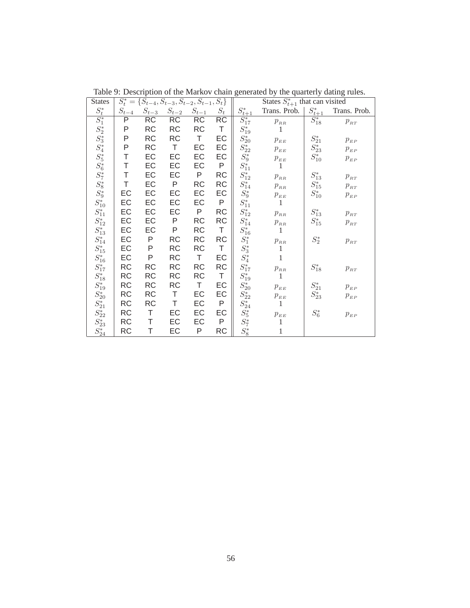| <b>States</b>   | $S_t^* = \{S_{t-4}, S_{t-3}, S_{t-2}, S_{t-1}, S_t\}$ |           |           |           | States $S_{t+1}^*$ that can visited |                         |                                                     |                 |                                                     |
|-----------------|-------------------------------------------------------|-----------|-----------|-----------|-------------------------------------|-------------------------|-----------------------------------------------------|-----------------|-----------------------------------------------------|
| $S^{\ast}_t$    | $S_{t-4}$                                             | $S_{t-3}$ | $S_{t-2}$ | $S_{t-1}$ | $S_t$                               | $S^*_{\underline{t+1}}$ | Trans. Prob.                                        | $S^*_{t\pm1}$   | Trans. Prob.                                        |
| $S_1^*$         | P                                                     | RC        | RC        | RC        | RC                                  | $S_{17}^*$              | $p_{\scriptscriptstyle RR}$                         | $S^*_{18}$      | $p_{\scriptscriptstyle RT}$                         |
| $S_2^{\ast}$    | P                                                     | <b>RC</b> | <b>RC</b> | RC        | T                                   | $S_{19}^{\ast}$         | 1                                                   |                 |                                                     |
| $S_3^*$         | Ρ                                                     | <b>RC</b> | RC        | T         | EC                                  | $S_{20}^{\ast}$         | $p_{{\scriptscriptstyle E} {\scriptscriptstyle E}}$ | $S_{21}^\ast$   | $p_{{\scriptscriptstyle E}P}$                       |
| $S_4^{\ast}$    | P                                                     | <b>RC</b> | T         | EC        | EC                                  | $S_{22}^{\ast}$         | $p_{{\scriptscriptstyle E} {\scriptscriptstyle E}}$ | $S_{23}^{\ast}$ | $p_{{\scriptscriptstyle E}P}$                       |
| $S_5^{\ast}$    | Τ                                                     | EC        | EC        | EC        | EC                                  | $S_9^\ast$              | $p_{{\scriptscriptstyle E} {\scriptscriptstyle E}}$ | $S_{10}^\ast$   | $p_{{\scriptscriptstyle E}P}$                       |
| $S_6^{\ast}$    | Τ                                                     | EC        | EC        | EC        | P                                   | $S_{11}^\ast$           | $\mathbf{1}$                                        |                 |                                                     |
| $S_7^\ast$      | Τ                                                     | EC        | EC        | P         | <b>RC</b>                           | $S_{12}^*$              | $p_{\scriptscriptstyle RR}$                         | $S_{13}^*$      | $p_{\scriptscriptstyle RT}$                         |
| $S_8^*$         | Τ                                                     | EC        | P         | RC        | <b>RC</b>                           | $S_{14}^{\ast}$         | $p_{_{RR}}$                                         | $S^{\ast}_{15}$ | $\boldsymbol{p}_{\scriptscriptstyle RT}$            |
| $S_9^*$         | EC                                                    | EC        | EC        | EC        | EC                                  | $S_9^\ast$              | $p_{_{EE}}$                                         | $S_{10}^\ast$   | $p_{\scriptscriptstyle EP}$                         |
| $S_{10}^\ast$   | EC                                                    | EC        | EC        | EC        | P                                   | $S_{11}^\ast$           | $\mathbf{1}$                                        |                 |                                                     |
| $S_{11}^\ast$   | EC                                                    | EC        | EC        | P         | <b>RC</b>                           | $S_{12}^*$              | $\boldsymbol{p}_{\scriptscriptstyle RR}$            | $S_{13}^{\ast}$ | $p_{\scriptscriptstyle RT}$                         |
| $S_{12}^\ast$   | EC                                                    | EC        | P         | RC        | <b>RC</b>                           | $S_{14}^{\ast}$         | $p_{_{RR}}$                                         | $S^{\ast}_{15}$ | $p_{\scriptscriptstyle RT}$                         |
| $S_{13}^{\ast}$ | EC                                                    | EC        | P         | RC        | T                                   | $S_{16}^\ast$           | 1                                                   |                 |                                                     |
| $S_{14}^{\ast}$ | EC                                                    | P         | <b>RC</b> | RC        | RC                                  | $S_1^\ast$              | $p_{{\scriptscriptstyle R} {\scriptscriptstyle R}}$ | $S_2^*$         | $p_{\scriptscriptstyle RT}$                         |
| $S^{\ast}_{15}$ | EC                                                    | P         | <b>RC</b> | RC        | T                                   | $S_3^{\ast}$            | 1                                                   |                 |                                                     |
| $S_{16}^{\ast}$ | EC                                                    | P         | <b>RC</b> | $\top$    | EC                                  | ${\cal S}_4^*$          | $\mathbf{1}$                                        |                 |                                                     |
| $S_{17}^{\ast}$ | <b>RC</b>                                             | <b>RC</b> | <b>RC</b> | RC        | <b>RC</b>                           | $S_{17}^{\ast}$         | $p_{{\scriptscriptstyle R} {\scriptscriptstyle R}}$ | $S_{18}^{\ast}$ | $p_{\scriptscriptstyle RT}$                         |
| $S^{\ast}_{18}$ | <b>RC</b>                                             | <b>RC</b> | RC        | RC        | Τ                                   | $S_{19}^{\ast}$         | 1                                                   |                 |                                                     |
| $S_{19}^{\ast}$ | <b>RC</b>                                             | <b>RC</b> | RC        | T         | EC                                  | $S_{20}^{\ast}$         | $p_{{\scriptscriptstyle E} {\scriptscriptstyle E}}$ | $S_{21}^*$      | $p_{{\scriptscriptstyle E}P}$                       |
| $S_{20}^{\ast}$ | <b>RC</b>                                             | <b>RC</b> | Τ         | EC        | EC                                  | $S_{22}^{\ast}$         | $p_{_{EE}}$                                         | $S_{23}^{\ast}$ | $p_{\scriptscriptstyle EP}$                         |
| $S_{21}^\ast$   | <b>RC</b>                                             | <b>RC</b> | Τ         | EC        | P                                   | $S_{24}^{\ast}$         | $\mathbf{1}$                                        |                 |                                                     |
| $S_{22}^{\ast}$ | <b>RC</b>                                             | Τ         | EC        | EC        | EC                                  | $S_5^{\ast}$            | $p_{{\scriptscriptstyle E} {\scriptscriptstyle E}}$ | $S_6^*$         | $p_{{\scriptscriptstyle E} {\scriptscriptstyle P}}$ |
| $S_{23}^{\ast}$ | <b>RC</b>                                             | Τ         | EC        | EC        | P                                   | $S_7^\ast$              | $\mathbf{1}$                                        |                 |                                                     |
| $S_{24}^{\ast}$ | <b>RC</b>                                             | Τ         | EC        | P         | <b>RC</b>                           | $S_8^{\ast}$            | 1                                                   |                 |                                                     |

Table 9: Description of the Markov chain generated by the quarterly dating rules.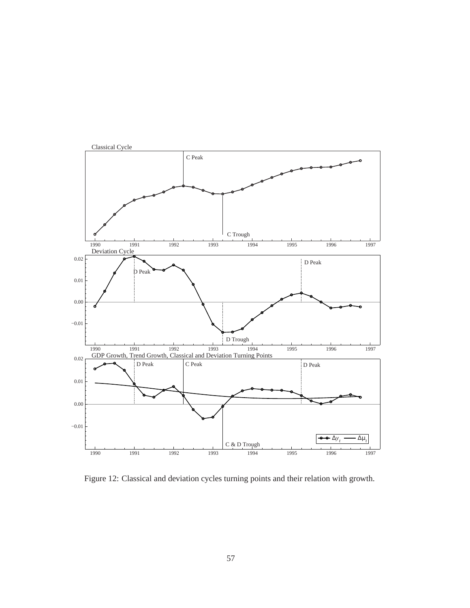

Figure 12: Classical and deviation cycles turning points and their relation with growth.